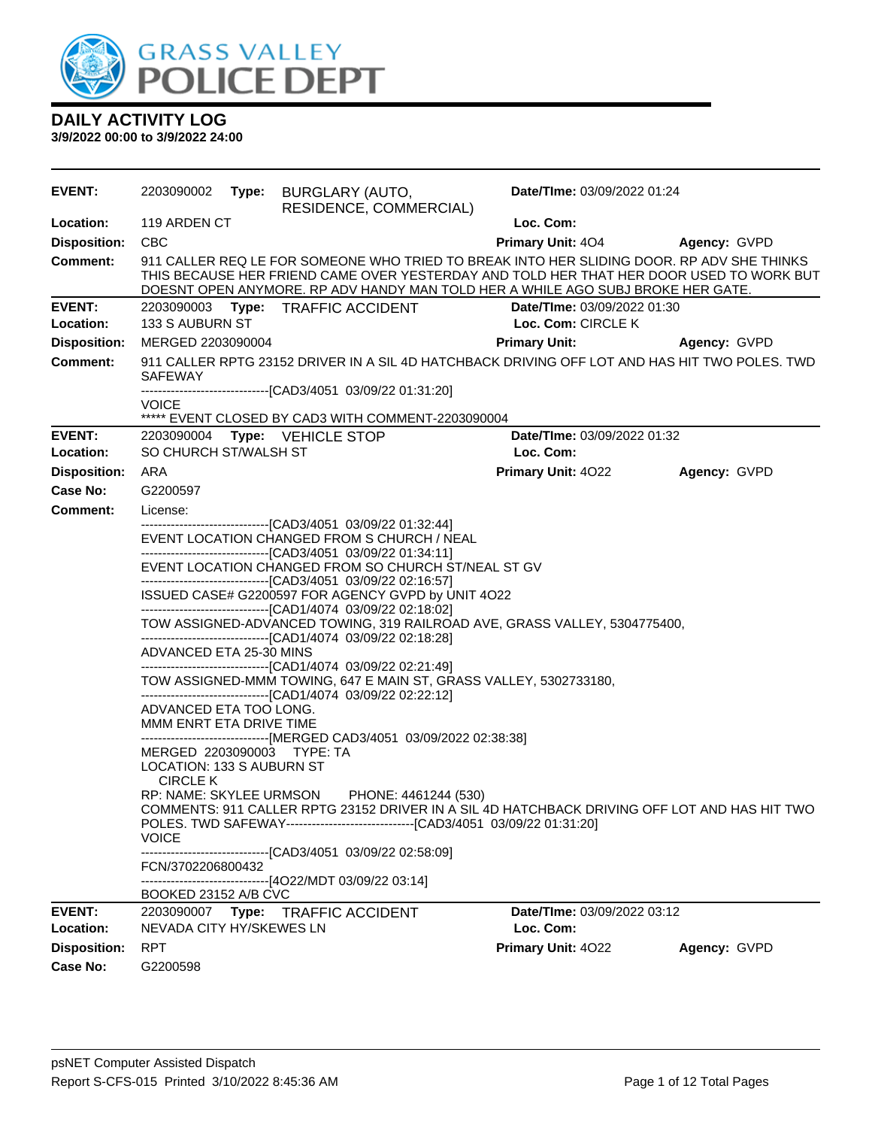

| <b>EVENT:</b>              |                                                                            | 2203090002 Type: BURGLARY (AUTO,<br>RESIDENCE, COMMERCIAL)                                                                                                                   | Date/TIme: 03/09/2022 01:24                                                                                                                                                                                                                                             |                     |
|----------------------------|----------------------------------------------------------------------------|------------------------------------------------------------------------------------------------------------------------------------------------------------------------------|-------------------------------------------------------------------------------------------------------------------------------------------------------------------------------------------------------------------------------------------------------------------------|---------------------|
| Location:                  | 119 ARDEN CT                                                               |                                                                                                                                                                              | Loc. Com:                                                                                                                                                                                                                                                               |                     |
| <b>Disposition:</b>        | <b>CBC</b>                                                                 |                                                                                                                                                                              | <b>Primary Unit: 404</b>                                                                                                                                                                                                                                                | <b>Agency: GVPD</b> |
| <b>Comment:</b>            |                                                                            |                                                                                                                                                                              | 911 CALLER REQ LE FOR SOMEONE WHO TRIED TO BREAK INTO HER SLIDING DOOR. RP ADV SHE THINKS<br>THIS BECAUSE HER FRIEND CAME OVER YESTERDAY AND TOLD HER THAT HER DOOR USED TO WORK BUT<br>DOESNT OPEN ANYMORE. RP ADV HANDY MAN TOLD HER A WHILE AGO SUBJ BROKE HER GATE. |                     |
| <b>EVENT:</b>              |                                                                            | 2203090003 Type: TRAFFIC ACCIDENT                                                                                                                                            | Date/TIme: 03/09/2022 01:30                                                                                                                                                                                                                                             |                     |
| Location:                  | 133 S AUBURN ST                                                            |                                                                                                                                                                              | Loc. Com: CIRCLE K                                                                                                                                                                                                                                                      |                     |
| <b>Disposition:</b>        | MERGED 2203090004                                                          |                                                                                                                                                                              | <b>Primary Unit:</b>                                                                                                                                                                                                                                                    | Agency: GVPD        |
| <b>Comment:</b>            | <b>SAFEWAY</b>                                                             | -------------------------------[CAD3/4051 03/09/22 01:31:20]                                                                                                                 | 911 CALLER RPTG 23152 DRIVER IN A SIL 4D HATCHBACK DRIVING OFF LOT AND HAS HIT TWO POLES. TWD                                                                                                                                                                           |                     |
|                            | <b>VOICE</b>                                                               | ***** EVENT CLOSED BY CAD3 WITH COMMENT-2203090004                                                                                                                           |                                                                                                                                                                                                                                                                         |                     |
| EVENT:<br>Location:        | SO CHURCH ST/WALSH ST                                                      | 2203090004    Type: VEHICLE STOP                                                                                                                                             | Date/TIme: 03/09/2022 01:32<br>Loc. Com:                                                                                                                                                                                                                                |                     |
| <b>Disposition:</b>        | ARA                                                                        |                                                                                                                                                                              | <b>Primary Unit: 4022</b>                                                                                                                                                                                                                                               | Agency: GVPD        |
| Case No:                   | G2200597                                                                   |                                                                                                                                                                              |                                                                                                                                                                                                                                                                         |                     |
| Comment:                   | License:                                                                   |                                                                                                                                                                              |                                                                                                                                                                                                                                                                         |                     |
|                            |                                                                            | -------------------------------[CAD3/4051 03/09/22 01:32:44]<br>EVENT LOCATION CHANGED FROM S CHURCH / NEAL<br>--------------------------------[CAD3/4051 03/09/22 01:34:11] |                                                                                                                                                                                                                                                                         |                     |
|                            |                                                                            | EVENT LOCATION CHANGED FROM SO CHURCH ST/NEAL ST GV<br>-------------------------------[CAD3/4051 03/09/22 02:16:57]                                                          |                                                                                                                                                                                                                                                                         |                     |
|                            |                                                                            | ISSUED CASE# G2200597 FOR AGENCY GVPD by UNIT 4O22<br>-------------------------------[CAD1/4074 03/09/22 02:18:02]                                                           |                                                                                                                                                                                                                                                                         |                     |
|                            |                                                                            | --------------------------------[CAD1/4074 03/09/22 02:18:28]                                                                                                                | TOW ASSIGNED-ADVANCED TOWING, 319 RAILROAD AVE, GRASS VALLEY, 5304775400,                                                                                                                                                                                               |                     |
|                            | ADVANCED ETA 25-30 MINS                                                    | -------------------------------[CAD1/4074 03/09/22 02:21:49]                                                                                                                 |                                                                                                                                                                                                                                                                         |                     |
|                            |                                                                            | TOW ASSIGNED-MMM TOWING, 647 E MAIN ST, GRASS VALLEY, 5302733180,<br>-------------------------------[CAD1/4074 03/09/22 02:22:12]                                            |                                                                                                                                                                                                                                                                         |                     |
|                            | ADVANCED ETA TOO LONG.<br>MMM ENRT ETA DRIVE TIME                          |                                                                                                                                                                              |                                                                                                                                                                                                                                                                         |                     |
|                            | MERGED 2203090003 TYPE: TA<br>LOCATION: 133 S AUBURN ST<br><b>CIRCLE K</b> | ------------------------------[MERGED CAD3/4051 03/09/2022 02:38:38]                                                                                                         |                                                                                                                                                                                                                                                                         |                     |
|                            | <b>VOICE</b>                                                               | RP: NAME: SKYLEE URMSON PHONE: 4461244 (530)<br>POLES. TWD SAFEWAY-------------------------------[CAD3/4051 03/09/22 01:31:20]                                               | COMMENTS: 911 CALLER RPTG 23152 DRIVER IN A SIL 4D HATCHBACK DRIVING OFF LOT AND HAS HIT TWO                                                                                                                                                                            |                     |
|                            | FCN/3702206800432                                                          | -------------------------------[CAD3/4051 03/09/22 02:58:09]<br>--------------------------------[4O22/MDT 03/09/22 03:14]                                                    |                                                                                                                                                                                                                                                                         |                     |
|                            | BOOKED 23152 A/B CVC                                                       |                                                                                                                                                                              |                                                                                                                                                                                                                                                                         |                     |
| <b>EVENT:</b><br>Location: | NEVADA CITY HY/SKEWES LN                                                   | 2203090007 Type: TRAFFIC ACCIDENT                                                                                                                                            | Date/TIme: 03/09/2022 03:12<br>Loc. Com:                                                                                                                                                                                                                                |                     |
| <b>Disposition:</b>        | <b>RPT</b>                                                                 |                                                                                                                                                                              | Primary Unit: 4022                                                                                                                                                                                                                                                      | Agency: GVPD        |
| <b>Case No:</b>            | G2200598                                                                   |                                                                                                                                                                              |                                                                                                                                                                                                                                                                         |                     |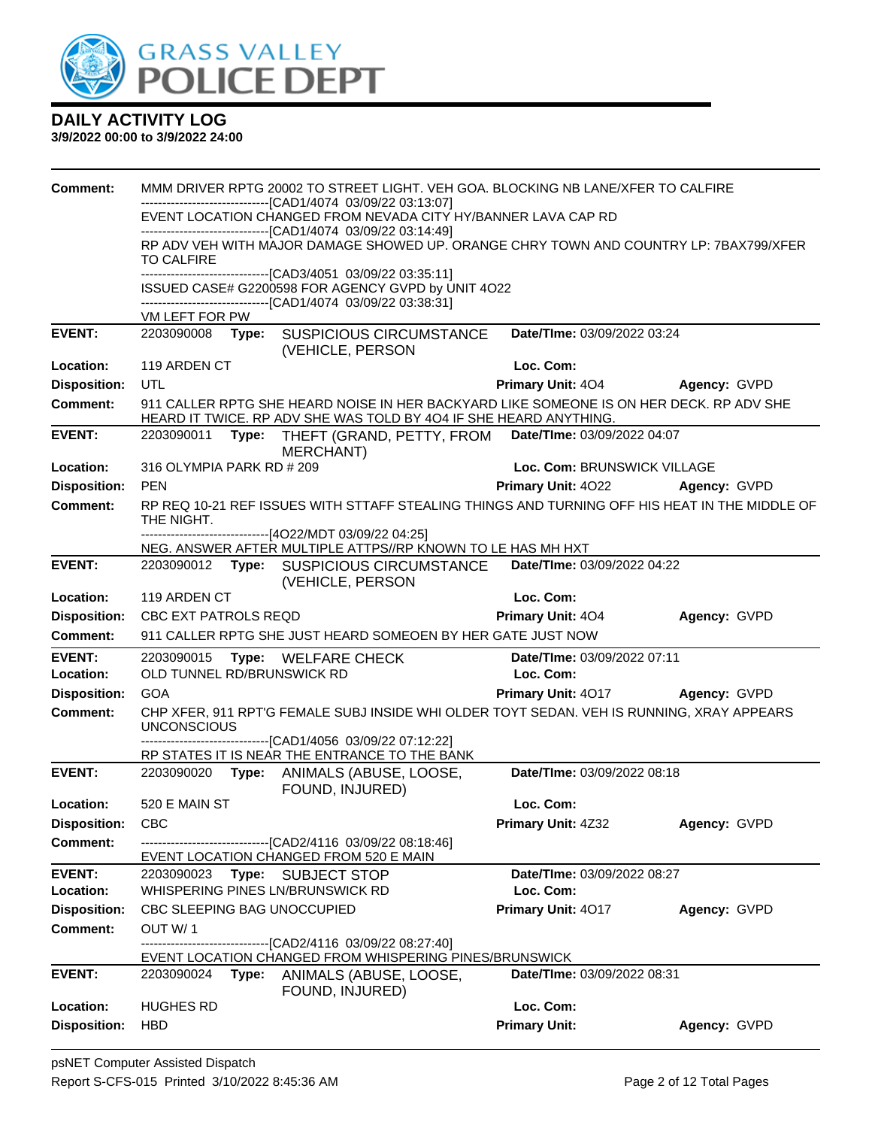

| <b>Comment:</b>                  |                                |       | MMM DRIVER RPTG 20002 TO STREET LIGHT. VEH GOA. BLOCKING NB LANE/XFER TO CALFIRE                                                                             |                                   |              |
|----------------------------------|--------------------------------|-------|--------------------------------------------------------------------------------------------------------------------------------------------------------------|-----------------------------------|--------------|
|                                  |                                |       | -------------------------[CAD1/4074_03/09/22 03:13:07]<br>EVENT LOCATION CHANGED FROM NEVADA CITY HY/BANNER LAVA CAP RD                                      |                                   |              |
|                                  |                                |       | -------------------------------[CAD1/4074 03/09/22 03:14:49]<br>RP ADV VEH WITH MAJOR DAMAGE SHOWED UP. ORANGE CHRY TOWN AND COUNTRY LP: 7BAX799/XFER        |                                   |              |
|                                  | TO CALFIRE                     |       |                                                                                                                                                              |                                   |              |
|                                  |                                |       | ------------------------------[CAD3/4051 03/09/22 03:35:11]                                                                                                  |                                   |              |
|                                  |                                |       | ISSUED CASE# G2200598 FOR AGENCY GVPD by UNIT 4O22<br>------------------------[CAD1/4074_03/09/22 03:38:31]                                                  |                                   |              |
|                                  | VM LEFT FOR PW                 |       |                                                                                                                                                              |                                   |              |
| <b>EVENT:</b>                    | 2203090008                     |       | Type: SUSPICIOUS CIRCUMSTANCE<br>(VEHICLE, PERSON                                                                                                            | Date/TIme: 03/09/2022 03:24       |              |
| Location:                        | 119 ARDEN CT                   |       |                                                                                                                                                              | Loc. Com:                         |              |
| <b>Disposition:</b>              | UTL                            |       |                                                                                                                                                              | <b>Primary Unit: 404</b>          | Agency: GVPD |
| <b>Comment:</b>                  |                                |       | 911 CALLER RPTG SHE HEARD NOISE IN HER BACKYARD LIKE SOMEONE IS ON HER DECK. RP ADV SHE<br>HEARD IT TWICE. RP ADV SHE WAS TOLD BY 404 IF SHE HEARD ANYTHING. |                                   |              |
| <b>EVENT:</b>                    | 2203090011                     | Type: | THEFT (GRAND, PETTY, FROM<br><b>MERCHANT)</b>                                                                                                                | Date/TIme: 03/09/2022 04:07       |              |
| Location:                        | 316 OLYMPIA PARK RD # 209      |       |                                                                                                                                                              | Loc. Com: BRUNSWICK VILLAGE       |              |
| <b>Disposition:</b>              | <b>PEN</b>                     |       |                                                                                                                                                              | <b>Primary Unit: 4022</b>         | Agency: GVPD |
| Comment:                         | THE NIGHT.                     |       | RP REQ 10-21 REF ISSUES WITH STTAFF STEALING THINGS AND TURNING OFF HIS HEAT IN THE MIDDLE OF                                                                |                                   |              |
|                                  |                                |       | ------------------------------[4O22/MDT 03/09/22 04:25]<br>NEG. ANSWER AFTER MULTIPLE ATTPS//RP KNOWN TO LE HAS MH HXT                                       |                                   |              |
| <b>EVENT:</b>                    | 2203090012                     |       | Type: SUSPICIOUS CIRCUMSTANCE<br>(VEHICLE, PERSON                                                                                                            | Date/TIme: 03/09/2022 04:22       |              |
| Location:                        | 119 ARDEN CT                   |       |                                                                                                                                                              | Loc. Com:                         |              |
|                                  |                                |       |                                                                                                                                                              |                                   |              |
| <b>Disposition:</b>              | CBC EXT PATROLS REQD           |       |                                                                                                                                                              | Primary Unit: 404                 | Agency: GVPD |
| Comment:                         |                                |       | 911 CALLER RPTG SHE JUST HEARD SOMEOEN BY HER GATE JUST NOW                                                                                                  |                                   |              |
| <b>EVENT:</b>                    | 2203090015                     | Type: | WELFARE CHECK                                                                                                                                                | Date/TIme: 03/09/2022 07:11       |              |
| Location:                        | OLD TUNNEL RD/BRUNSWICK RD     |       |                                                                                                                                                              | Loc. Com:                         |              |
| <b>Disposition:</b>              | <b>GOA</b>                     |       |                                                                                                                                                              | Primary Unit: 4017                | Agency: GVPD |
| Comment:                         | <b>UNCONSCIOUS</b>             |       | CHP XFER, 911 RPT'G FEMALE SUBJ INSIDE WHI OLDER TOYT SEDAN. VEH IS RUNNING, XRAY APPEARS                                                                    |                                   |              |
|                                  |                                |       | ---------------------------------[CAD1/4056 03/09/22 07:12:22]                                                                                               |                                   |              |
|                                  |                                |       | RP STATES IT IS NEAR THE ENTRANCE TO THE BANK                                                                                                                |                                   |              |
| <b>EVENT:</b>                    |                                |       | 2203090020 Type: ANIMALS (ABUSE, LOOSE,                                                                                                                      | Date/TIme: 03/09/2022 08:18       |              |
| Location:                        | 520 E MAIN ST                  |       | FOUND, INJURED)                                                                                                                                              | Loc. Com:                         |              |
| <b>Disposition:</b>              | <b>CBC</b>                     |       |                                                                                                                                                              | Primary Unit: 4Z32                | Agency: GVPD |
| <b>Comment:</b>                  |                                |       | -------------------------------[CAD2/4116_03/09/22 08:18:46]<br>EVENT LOCATION CHANGED FROM 520 E MAIN                                                       |                                   |              |
| <b>EVENT:</b>                    | 2203090023                     | Type: | <b>SUBJECT STOP</b>                                                                                                                                          | Date/TIme: 03/09/2022 08:27       |              |
| Location:                        |                                |       | WHISPERING PINES LN/BRUNSWICK RD                                                                                                                             | Loc. Com:                         |              |
| <b>Disposition:</b>              | CBC SLEEPING BAG UNOCCUPIED    |       |                                                                                                                                                              | Primary Unit: 4017                | Agency: GVPD |
| <b>Comment:</b>                  | OUT W/1                        |       |                                                                                                                                                              |                                   |              |
|                                  |                                |       | -----------------[CAD2/4116 03/09/22 08:27:40]<br>EVENT LOCATION CHANGED FROM WHISPERING PINES/BRUNSWICK                                                     |                                   |              |
| <b>EVENT:</b>                    | 2203090024                     | Type: | ANIMALS (ABUSE, LOOSE,<br>FOUND, INJURED)                                                                                                                    | Date/TIme: 03/09/2022 08:31       |              |
| Location:<br><b>Disposition:</b> | <b>HUGHES RD</b><br><b>HBD</b> |       |                                                                                                                                                              | Loc. Com:<br><b>Primary Unit:</b> |              |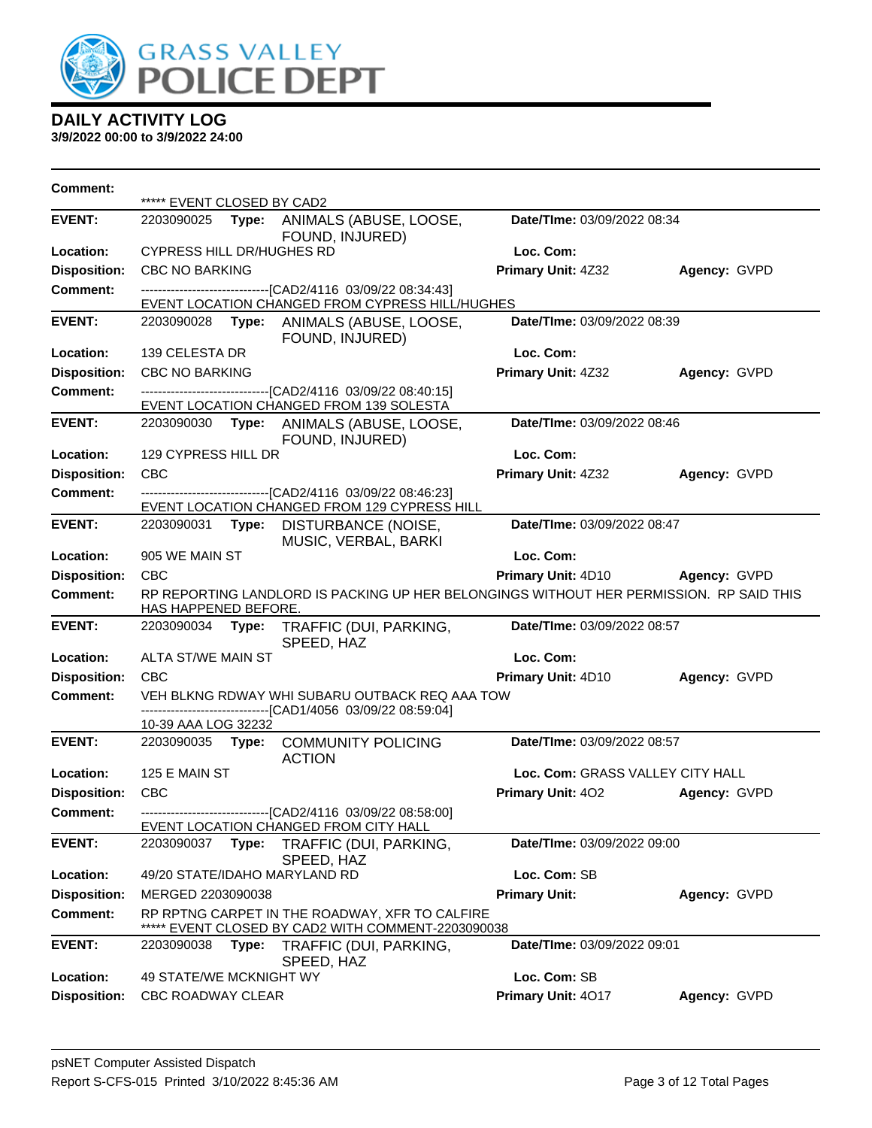

| <b>Comment:</b>                        | ***** EVENT CLOSED BY CAD2 |       |                                                                                                               |                                  |              |
|----------------------------------------|----------------------------|-------|---------------------------------------------------------------------------------------------------------------|----------------------------------|--------------|
| <b>EVENT:</b>                          | 2203090025                 |       | Type: ANIMALS (ABUSE, LOOSE,<br>FOUND, INJURED)                                                               | Date/TIme: 03/09/2022 08:34      |              |
| Location:                              | CYPRESS HILL DR/HUGHES RD  |       |                                                                                                               | Loc. Com:                        |              |
| <b>Disposition:</b>                    | <b>CBC NO BARKING</b>      |       |                                                                                                               | Primary Unit: 4Z32               | Agency: GVPD |
| <b>Comment:</b>                        |                            |       | ---------------------------[CAD2/4116_03/09/22_08:34:43]                                                      |                                  |              |
| <b>EVENT:</b>                          |                            |       | EVENT LOCATION CHANGED FROM CYPRESS HILL/HUGHES                                                               | Date/TIme: 03/09/2022 08:39      |              |
|                                        |                            |       | 2203090028 Type: ANIMALS (ABUSE, LOOSE,<br>FOUND, INJURED)                                                    |                                  |              |
| Location:                              | 139 CELESTA DR             |       |                                                                                                               | Loc. Com:                        |              |
| <b>Disposition:</b><br><b>Comment:</b> | <b>CBC NO BARKING</b>      |       |                                                                                                               | Primary Unit: 4Z32               | Agency: GVPD |
|                                        |                            |       | ------------------------------[CAD2/4116 03/09/22 08:40:15]<br>EVENT LOCATION CHANGED FROM 139 SOLESTA        |                                  |              |
| <b>EVENT:</b>                          |                            |       | 2203090030 Type: ANIMALS (ABUSE, LOOSE,<br>FOUND, INJURED)                                                    | Date/TIme: 03/09/2022 08:46      |              |
| Location:                              | 129 CYPRESS HILL DR        |       |                                                                                                               | Loc. Com:                        |              |
| <b>Disposition:</b>                    | <b>CBC</b>                 |       |                                                                                                               | Primary Unit: 4Z32               | Agency: GVPD |
| <b>Comment:</b>                        |                            |       | --------------------------[CAD2/4116 03/09/22 08:46:23]<br>EVENT LOCATION CHANGED FROM 129 CYPRESS HILL       |                                  |              |
| <b>EVENT:</b>                          | 2203090031                 | Type: | DISTURBANCE (NOISE,<br>MUSIC, VERBAL, BARKI                                                                   | Date/TIme: 03/09/2022 08:47      |              |
| Location:                              | 905 WE MAIN ST             |       |                                                                                                               | Loc. Com:                        |              |
| <b>Disposition:</b>                    | <b>CBC</b>                 |       |                                                                                                               | Primary Unit: 4D10               | Agency: GVPD |
| <b>Comment:</b>                        | HAS HAPPENED BEFORE.       |       | RP REPORTING LANDLORD IS PACKING UP HER BELONGINGS WITHOUT HER PERMISSION. RP SAID THIS                       |                                  |              |
| <b>EVENT:</b>                          | 2203090034 Type:           |       | TRAFFIC (DUI, PARKING,<br>SPEED, HAZ                                                                          | Date/TIme: 03/09/2022 08:57      |              |
| Location:                              | ALTA ST/WE MAIN ST         |       |                                                                                                               | Loc. Com:                        |              |
| <b>Disposition:</b>                    | <b>CBC</b>                 |       |                                                                                                               | Primary Unit: 4D10               | Agency: GVPD |
| <b>Comment:</b>                        |                            |       | VEH BLKNG RDWAY WHI SUBARU OUTBACK REQ AAA TOW<br>------------------------------[CAD1/4056_03/09/22 08:59:04] |                                  |              |
|                                        | 10-39 AAA LOG 32232        |       |                                                                                                               |                                  |              |
| <b>EVENT:</b>                          |                            |       | 2203090035 Type: COMMUNITY POLICING<br><b>ACTION</b>                                                          | Date/TIme: 03/09/2022 08:57      |              |
| Location:                              | 125 E MAIN ST              |       |                                                                                                               | Loc. Com: GRASS VALLEY CITY HALL |              |
| <b>Disposition:</b>                    | <b>CBC</b>                 |       |                                                                                                               | <b>Primary Unit: 402</b>         | Agency: GVPD |
| <b>Comment:</b>                        |                            |       | -------------------------------[CAD2/4116 03/09/22 08:58:00]<br>EVENT LOCATION CHANGED FROM CITY HALL         |                                  |              |
| <b>EVENT:</b>                          | 2203090037                 | Type: | TRAFFIC (DUI, PARKING,<br>SPEED, HAZ                                                                          | Date/TIme: 03/09/2022 09:00      |              |
| Location:                              |                            |       | 49/20 STATE/IDAHO MARYLAND RD                                                                                 | Loc. Com: SB                     |              |
| <b>Disposition:</b>                    | MERGED 2203090038          |       |                                                                                                               | <b>Primary Unit:</b>             | Agency: GVPD |
| <b>Comment:</b>                        |                            |       | RP RPTNG CARPET IN THE ROADWAY, XFR TO CALFIRE<br>EVENT CLOSED BY CAD2 WITH COMMENT-2203090038                |                                  |              |
| <b>EVENT:</b>                          | 2203090038                 | Type: | TRAFFIC (DUI, PARKING,<br>SPEED, HAZ                                                                          | Date/TIme: 03/09/2022 09:01      |              |
| Location:                              | 49 STATE/WE MCKNIGHT WY    |       |                                                                                                               | Loc. Com: SB                     |              |
| <b>Disposition:</b>                    | CBC ROADWAY CLEAR          |       |                                                                                                               | Primary Unit: 4017               | Agency: GVPD |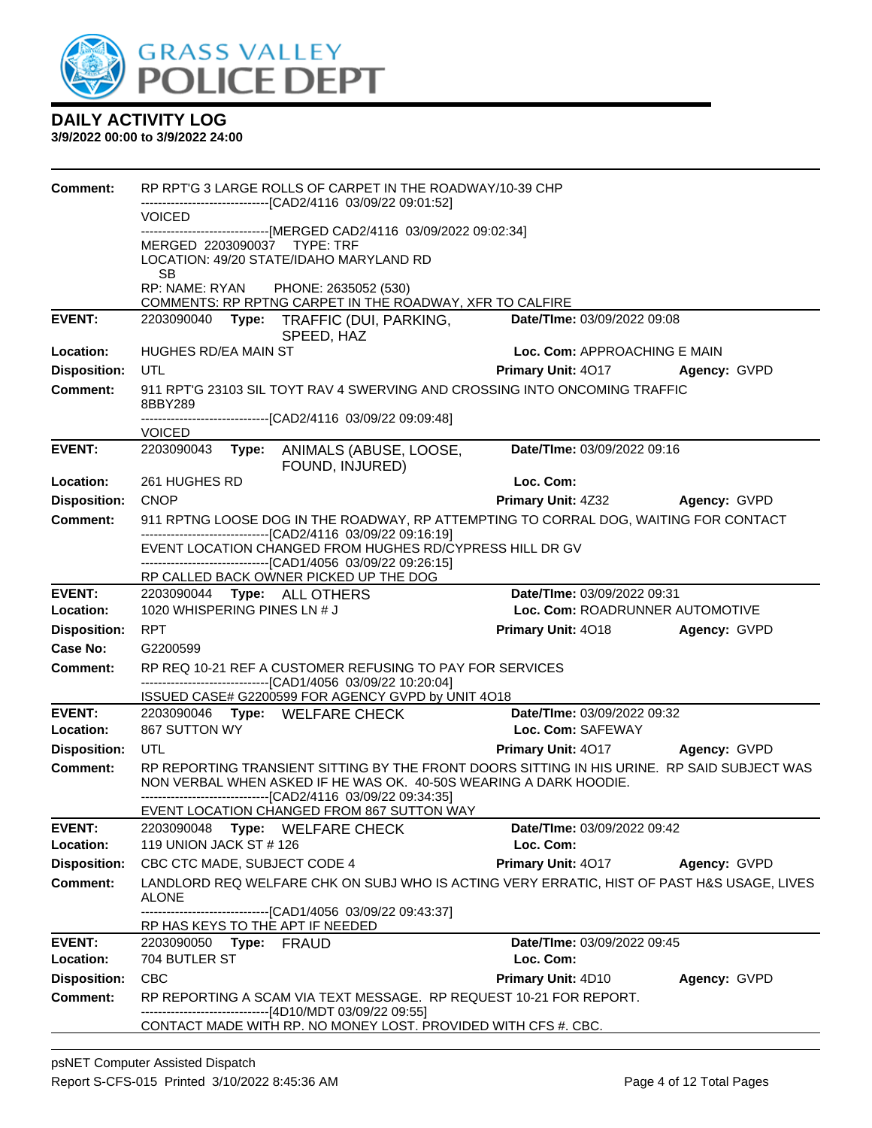

| <b>Comment:</b>     |                                                            | RP RPT'G 3 LARGE ROLLS OF CARPET IN THE ROADWAY/10-39 CHP                                                                                                        |                                 |              |
|---------------------|------------------------------------------------------------|------------------------------------------------------------------------------------------------------------------------------------------------------------------|---------------------------------|--------------|
|                     | <b>VOICED</b>                                              | -------------------------------[CAD2/4116 03/09/22 09:01:52]                                                                                                     |                                 |              |
|                     |                                                            | -------------------------[MERGED CAD2/4116 03/09/2022 09:02:34]                                                                                                  |                                 |              |
|                     | MERGED 2203090037 TYPE: TRF                                | LOCATION: 49/20 STATE/IDAHO MARYLAND RD                                                                                                                          |                                 |              |
|                     | SВ<br>RP: NAME: RYAN                                       | PHONE: 2635052 (530)                                                                                                                                             |                                 |              |
|                     |                                                            | COMMENTS: RP RPTNG CARPET IN THE ROADWAY, XFR TO CALFIRE                                                                                                         |                                 |              |
| <b>EVENT:</b>       |                                                            | 2203090040 Type: TRAFFIC (DUI, PARKING,                                                                                                                          | Date/TIme: 03/09/2022 09:08     |              |
| Location:           | HUGHES RD/EA MAIN ST                                       | SPEED, HAZ                                                                                                                                                       | Loc. Com: APPROACHING E MAIN    |              |
|                     | UTL                                                        |                                                                                                                                                                  |                                 |              |
| <b>Disposition:</b> |                                                            |                                                                                                                                                                  | <b>Primary Unit: 4017</b>       | Agency: GVPD |
| <b>Comment:</b>     | 8BBY289                                                    | 911 RPT'G 23103 SIL TOYT RAV 4 SWERVING AND CROSSING INTO ONCOMING TRAFFIC                                                                                       |                                 |              |
|                     | <b>VOICED</b>                                              | -------------------------------[CAD2/4116 03/09/22 09:09:48]                                                                                                     |                                 |              |
| <b>EVENT:</b>       | 2203090043                                                 | Type: ANIMALS (ABUSE, LOOSE,<br>FOUND, INJURED)                                                                                                                  | Date/TIme: 03/09/2022 09:16     |              |
| Location:           | 261 HUGHES RD                                              |                                                                                                                                                                  | Loc. Com:                       |              |
| <b>Disposition:</b> | <b>CNOP</b>                                                |                                                                                                                                                                  | Primary Unit: 4Z32 Agency: GVPD |              |
| <b>Comment:</b>     |                                                            | 911 RPTNG LOOSE DOG IN THE ROADWAY, RP ATTEMPTING TO CORRAL DOG, WAITING FOR CONTACT                                                                             |                                 |              |
|                     |                                                            | --------------------------------[CAD2/4116 03/09/22 09:16:19]<br>EVENT LOCATION CHANGED FROM HUGHES RD/CYPRESS HILL DR GV                                        |                                 |              |
|                     |                                                            | ------------------------------[CAD1/4056 03/09/22 09:26:15]                                                                                                      |                                 |              |
|                     |                                                            | RP CALLED BACK OWNER PICKED UP THE DOG                                                                                                                           |                                 |              |
| <b>EVENT:</b>       | 2203090044 Type: ALL OTHERS                                |                                                                                                                                                                  | Date/TIme: 03/09/2022 09:31     |              |
| Location:           | 1020 WHISPERING PINES LN # J                               |                                                                                                                                                                  | Loc. Com: ROADRUNNER AUTOMOTIVE |              |
| <b>Disposition:</b> | <b>RPT</b>                                                 |                                                                                                                                                                  | <b>Primary Unit: 4018</b>       | Agency: GVPD |
| <b>Case No:</b>     | G2200599                                                   |                                                                                                                                                                  |                                 |              |
| Comment:            |                                                            | RP REQ 10-21 REF A CUSTOMER REFUSING TO PAY FOR SERVICES<br>-------------------------------[CAD1/4056 03/09/22 10:20:04]                                         |                                 |              |
|                     |                                                            | ISSUED CASE# G2200599 FOR AGENCY GVPD by UNIT 4O18                                                                                                               |                                 |              |
| <b>EVENT:</b>       |                                                            | 2203090046 Type: WELFARE CHECK                                                                                                                                   | Date/TIme: 03/09/2022 09:32     |              |
| Location:           | 867 SUTTON WY                                              |                                                                                                                                                                  | Loc. Com: SAFEWAY               |              |
| <b>Disposition:</b> | UTL                                                        |                                                                                                                                                                  | Primary Unit: 4017 Agency: GVPD |              |
| <b>Comment:</b>     |                                                            | RP REPORTING TRANSIENT SITTING BY THE FRONT DOORS SITTING IN HIS URINE. RP SAID SUBJECT WAS<br>NON VERBAL WHEN ASKED IF HE WAS OK. 40-50S WEARING A DARK HOODIE. |                                 |              |
|                     |                                                            | -------------------------------[CAD2/4116 03/09/22 09:34:35]<br>EVENT LOCATION CHANGED FROM 867 SUTTON WAY                                                       |                                 |              |
| <b>EVENT:</b>       | 2203090048                                                 | Type: WELFARE CHECK                                                                                                                                              | Date/TIme: 03/09/2022 09:42     |              |
| Location:           | 119 UNION JACK ST # 126                                    |                                                                                                                                                                  | Loc. Com:                       |              |
| <b>Disposition:</b> | CBC CTC MADE, SUBJECT CODE 4                               |                                                                                                                                                                  | <b>Primary Unit: 4017</b>       | Agency: GVPD |
| <b>Comment:</b>     | <b>ALONE</b>                                               | LANDLORD REQ WELFARE CHK ON SUBJ WHO IS ACTING VERY ERRATIC, HIST OF PAST H&S USAGE, LIVES                                                                       |                                 |              |
|                     |                                                            | ----------------[CAD1/4056_03/09/22_09:43:37]                                                                                                                    |                                 |              |
| <b>EVENT:</b>       | RP HAS KEYS TO THE APT IF NEEDED<br>2203090050 Type: FRAUD |                                                                                                                                                                  | Date/TIme: 03/09/2022 09:45     |              |
| Location:           | 704 BUTLER ST                                              |                                                                                                                                                                  | Loc. Com:                       |              |
| <b>Disposition:</b> | <b>CBC</b>                                                 |                                                                                                                                                                  | Primary Unit: 4D10              | Agency: GVPD |
| <b>Comment:</b>     |                                                            | RP REPORTING A SCAM VIA TEXT MESSAGE. RP REQUEST 10-21 FOR REPORT.                                                                                               |                                 |              |
|                     |                                                            | -------------------------------[4D10/MDT 03/09/22 09:55]                                                                                                         |                                 |              |
|                     |                                                            | CONTACT MADE WITH RP. NO MONEY LOST. PROVIDED WITH CFS #. CBC.                                                                                                   |                                 |              |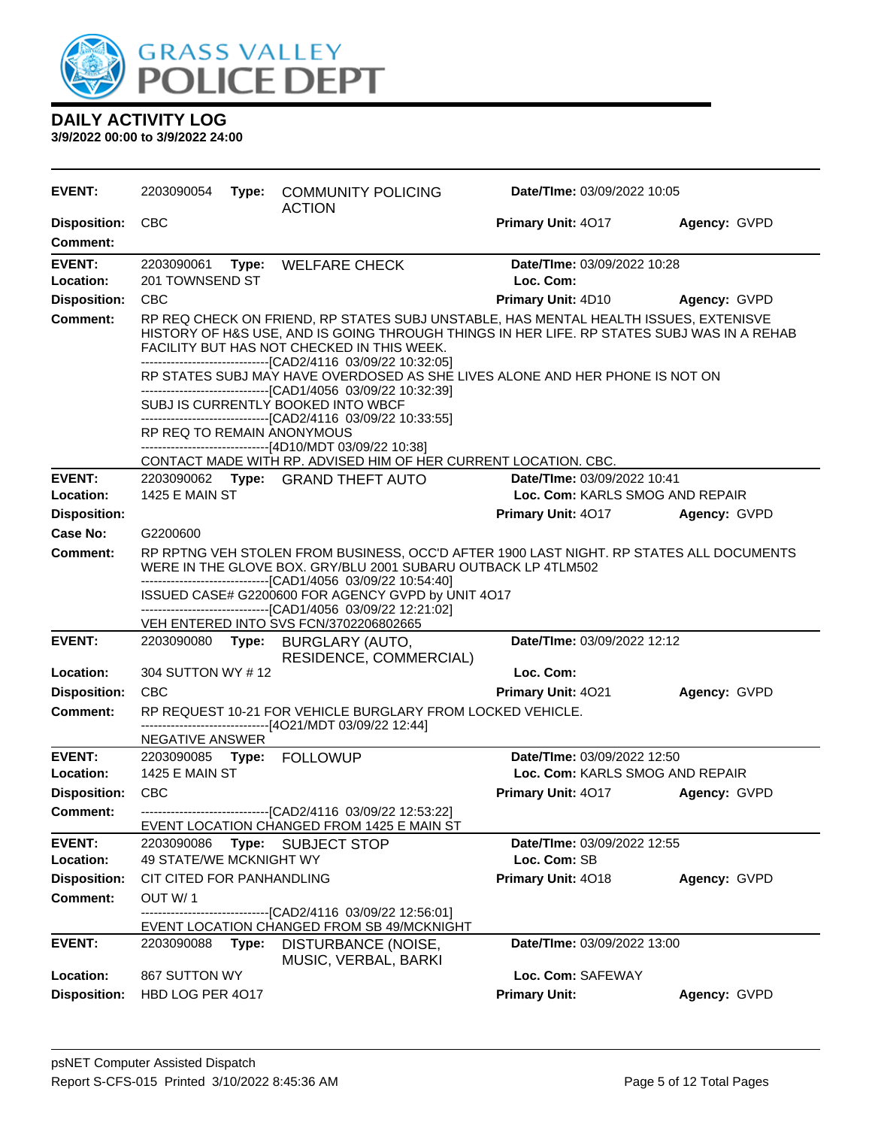

| <b>EVENT:</b>                          | 2203090054                    |       | Type: COMMUNITY POLICING<br><b>ACTION</b>                                                                                                                                                                                                                                                         | Date/TIme: 03/09/2022 10:05                                           |              |
|----------------------------------------|-------------------------------|-------|---------------------------------------------------------------------------------------------------------------------------------------------------------------------------------------------------------------------------------------------------------------------------------------------------|-----------------------------------------------------------------------|--------------|
| <b>Disposition:</b><br><b>Comment:</b> | <b>CBC</b>                    |       |                                                                                                                                                                                                                                                                                                   | <b>Primary Unit: 4017</b>                                             | Agency: GVPD |
| <b>EVENT:</b><br>Location:             | 2203090061<br>201 TOWNSEND ST | Type: | <b>WELFARE CHECK</b>                                                                                                                                                                                                                                                                              | Date/TIme: 03/09/2022 10:28<br>Loc. Com:                              |              |
| <b>Disposition:</b>                    | <b>CBC</b>                    |       |                                                                                                                                                                                                                                                                                                   | <b>Primary Unit: 4D10</b>                                             | Agency: GVPD |
| <b>Comment:</b>                        |                               |       | RP REQ CHECK ON FRIEND, RP STATES SUBJ UNSTABLE, HAS MENTAL HEALTH ISSUES, EXTENISVE<br>HISTORY OF H&S USE, AND IS GOING THROUGH THINGS IN HER LIFE. RP STATES SUBJ WAS IN A REHAB<br>FACILITY BUT HAS NOT CHECKED IN THIS WEEK.<br>--------------------------------[CAD2/4116 03/09/22 10:32:05] |                                                                       |              |
|                                        |                               |       | RP STATES SUBJ MAY HAVE OVERDOSED AS SHE LIVES ALONE AND HER PHONE IS NOT ON<br>--------------------------------[CAD1/4056 03/09/22 10:32:39]<br>SUBJ IS CURRENTLY BOOKED INTO WBCF<br>--------------------------------[CAD2/4116 03/09/22 10:33:55]                                              |                                                                       |              |
|                                        | RP REQ TO REMAIN ANONYMOUS    |       | ------------------------------[4D10/MDT 03/09/22 10:38]                                                                                                                                                                                                                                           |                                                                       |              |
| <b>EVENT:</b>                          |                               |       | CONTACT MADE WITH RP. ADVISED HIM OF HER CURRENT LOCATION. CBC.                                                                                                                                                                                                                                   |                                                                       |              |
| Location:                              | <b>1425 E MAIN ST</b>         |       | 2203090062 Type: GRAND THEFT AUTO                                                                                                                                                                                                                                                                 | <b>Date/Time: 03/09/2022 10:41</b><br>Loc. Com: KARLS SMOG AND REPAIR |              |
| <b>Disposition:</b>                    |                               |       |                                                                                                                                                                                                                                                                                                   | <b>Primary Unit: 4017</b>                                             | Agency: GVPD |
| Case No:                               | G2200600                      |       |                                                                                                                                                                                                                                                                                                   |                                                                       |              |
| Comment:                               |                               |       | RP RPTNG VEH STOLEN FROM BUSINESS, OCC'D AFTER 1900 LAST NIGHT. RP STATES ALL DOCUMENTS<br>WERE IN THE GLOVE BOX. GRY/BLU 2001 SUBARU OUTBACK LP 4TLM502                                                                                                                                          |                                                                       |              |
|                                        |                               |       | ----------------------------------[CAD1/4056 03/09/22 10:54:40]<br>ISSUED CASE# G2200600 FOR AGENCY GVPD by UNIT 4O17<br>-------------------------------[CAD1/4056_03/09/22 12:21:02]                                                                                                             |                                                                       |              |
|                                        |                               |       | VEH ENTERED INTO SVS FCN/3702206802665                                                                                                                                                                                                                                                            |                                                                       |              |
| <b>EVENT:</b>                          | 2203090080 Type:              |       | <b>BURGLARY (AUTO,</b><br>RESIDENCE, COMMERCIAL)                                                                                                                                                                                                                                                  | Date/TIme: 03/09/2022 12:12                                           |              |
| Location:                              | 304 SUTTON WY #12             |       |                                                                                                                                                                                                                                                                                                   | Loc. Com:                                                             |              |
| <b>Disposition:</b>                    | <b>CBC</b>                    |       |                                                                                                                                                                                                                                                                                                   | <b>Primary Unit: 4021</b>                                             | Agency: GVPD |
| <b>Comment:</b>                        | NEGATIVE ANSWER               |       | RP REQUEST 10-21 FOR VEHICLE BURGLARY FROM LOCKED VEHICLE.<br>------------------------------[4O21/MDT 03/09/22 12:44]                                                                                                                                                                             |                                                                       |              |
| <b>EVENT:</b>                          |                               |       |                                                                                                                                                                                                                                                                                                   | Date/TIme: 03/09/2022 12:50                                           |              |
| Location:                              | <b>1425 E MAIN ST</b>         |       |                                                                                                                                                                                                                                                                                                   | Loc. Com: KARLS SMOG AND REPAIR                                       |              |
| <b>Disposition:</b>                    | <b>CBC</b>                    |       |                                                                                                                                                                                                                                                                                                   | <b>Primary Unit: 4017</b>                                             | Agency: GVPD |
| Comment:                               |                               |       | ----------------------------------[CAD2/4116 03/09/22 12:53:22]<br>EVENT LOCATION CHANGED FROM 1425 E MAIN ST                                                                                                                                                                                     |                                                                       |              |
| <b>EVENT:</b>                          | 2203090086                    | Type: | <b>SUBJECT STOP</b>                                                                                                                                                                                                                                                                               | Date/TIme: 03/09/2022 12:55                                           |              |
| Location:                              | 49 STATE/WE MCKNIGHT WY       |       |                                                                                                                                                                                                                                                                                                   | Loc. Com: SB                                                          |              |
| <b>Disposition:</b>                    | CIT CITED FOR PANHANDLING     |       |                                                                                                                                                                                                                                                                                                   | Primary Unit: 4018                                                    | Agency: GVPD |
| <b>Comment:</b>                        | OUT W/1                       |       | --------------[CAD2/4116_03/09/22 12:56:01]<br>EVENT LOCATION CHANGED FROM SB 49/MCKNIGHT                                                                                                                                                                                                         |                                                                       |              |
| <b>EVENT:</b>                          | 2203090088                    | Type: | DISTURBANCE (NOISE,<br>MUSIC, VERBAL, BARKI                                                                                                                                                                                                                                                       | Date/TIme: 03/09/2022 13:00                                           |              |
| Location:                              | 867 SUTTON WY                 |       |                                                                                                                                                                                                                                                                                                   | Loc. Com: SAFEWAY                                                     |              |
| <b>Disposition:</b>                    | HBD LOG PER 4017              |       |                                                                                                                                                                                                                                                                                                   | <b>Primary Unit:</b>                                                  | Agency: GVPD |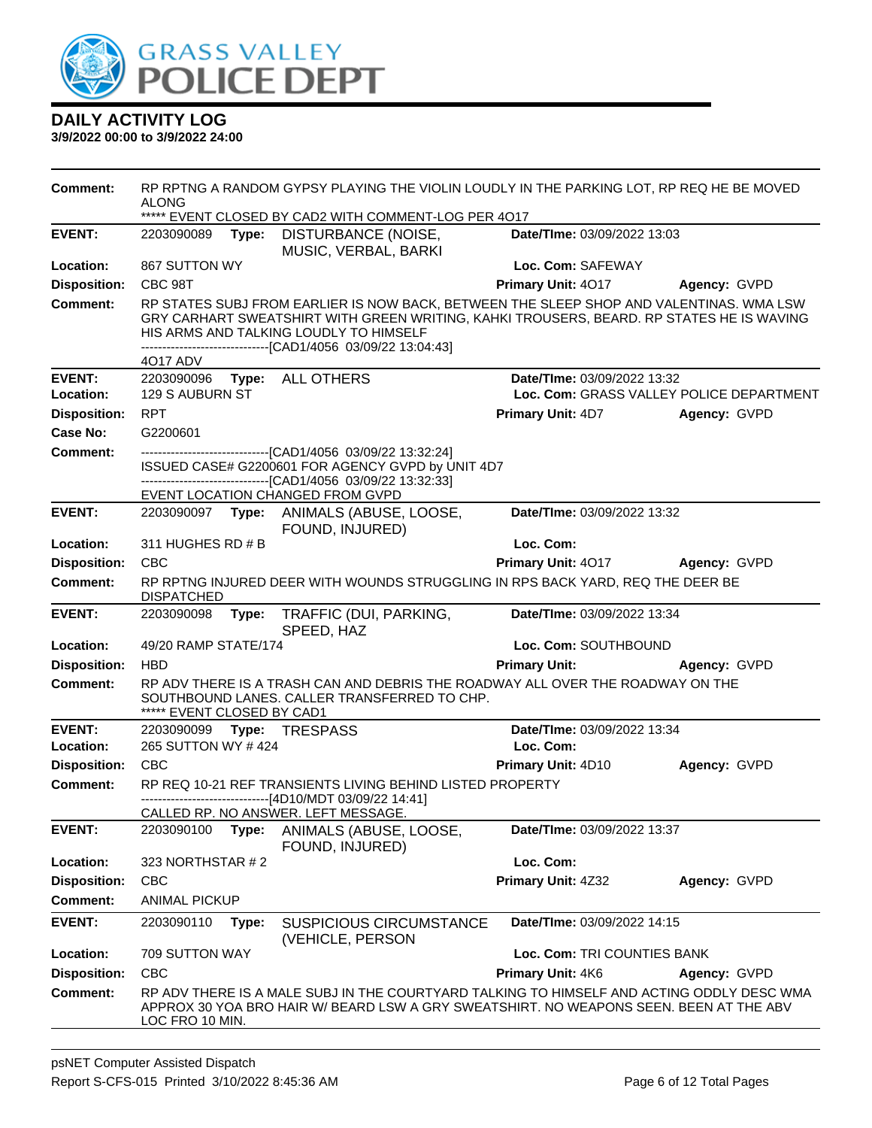

| <b>Comment:</b>            | <b>ALONG</b>               |       | RP RPTNG A RANDOM GYPSY PLAYING THE VIOLIN LOUDLY IN THE PARKING LOT, RP REQ HE BE MOVED<br>***** EVENT CLOSED BY CAD2 WITH COMMENT-LOG PER 4017                                                                                                                                               |                                          |                                          |
|----------------------------|----------------------------|-------|------------------------------------------------------------------------------------------------------------------------------------------------------------------------------------------------------------------------------------------------------------------------------------------------|------------------------------------------|------------------------------------------|
| <b>EVENT:</b>              | 2203090089                 | Type: | DISTURBANCE (NOISE,<br>MUSIC, VERBAL, BARKI                                                                                                                                                                                                                                                    | Date/TIme: 03/09/2022 13:03              |                                          |
| Location:                  | 867 SUTTON WY              |       |                                                                                                                                                                                                                                                                                                | Loc. Com: SAFEWAY                        |                                          |
| <b>Disposition:</b>        | CBC 98T                    |       |                                                                                                                                                                                                                                                                                                | Primary Unit: 4017                       | Agency: GVPD                             |
| <b>Comment:</b>            | 4017 ADV                   |       | RP STATES SUBJ FROM EARLIER IS NOW BACK, BETWEEN THE SLEEP SHOP AND VALENTINAS. WMA LSW<br>GRY CARHART SWEATSHIRT WITH GREEN WRITING, KAHKI TROUSERS, BEARD. RP STATES HE IS WAVING<br>HIS ARMS AND TALKING LOUDLY TO HIMSELF<br>--------------------------------[CAD1/4056 03/09/22 13:04:43] |                                          |                                          |
| <b>EVENT:</b>              |                            |       | 2203090096 Type: ALL OTHERS                                                                                                                                                                                                                                                                    | Date/TIme: 03/09/2022 13:32              |                                          |
| Location:                  | 129 S AUBURN ST            |       |                                                                                                                                                                                                                                                                                                |                                          | Loc. Com: GRASS VALLEY POLICE DEPARTMENT |
| <b>Disposition:</b>        | <b>RPT</b>                 |       |                                                                                                                                                                                                                                                                                                | <b>Primary Unit: 4D7</b>                 | Agency: GVPD                             |
| Case No:                   | G2200601                   |       |                                                                                                                                                                                                                                                                                                |                                          |                                          |
| <b>Comment:</b>            |                            |       | ISSUED CASE# G2200601 FOR AGENCY GVPD by UNIT 4D7<br>-------------------------------[CAD1/4056 03/09/22 13:32:33]                                                                                                                                                                              |                                          |                                          |
| <b>EVENT:</b>              |                            |       | EVENT LOCATION CHANGED FROM GVPD<br>2203090097 Type: ANIMALS (ABUSE, LOOSE,                                                                                                                                                                                                                    | Date/TIme: 03/09/2022 13:32              |                                          |
|                            |                            |       | FOUND, INJURED)                                                                                                                                                                                                                                                                                |                                          |                                          |
| Location:                  | 311 HUGHES RD # B          |       |                                                                                                                                                                                                                                                                                                | Loc. Com:                                |                                          |
| <b>Disposition:</b>        | <b>CBC</b>                 |       |                                                                                                                                                                                                                                                                                                | Primary Unit: 4017                       | <b>Agency: GVPD</b>                      |
| <b>Comment:</b>            | <b>DISPATCHED</b>          |       | RP RPTNG INJURED DEER WITH WOUNDS STRUGGLING IN RPS BACK YARD, REQ THE DEER BE                                                                                                                                                                                                                 |                                          |                                          |
| <b>EVENT:</b>              |                            |       | 2203090098 Type: TRAFFIC (DUI, PARKING,<br>SPEED, HAZ                                                                                                                                                                                                                                          | Date/TIme: 03/09/2022 13:34              |                                          |
| Location:                  | 49/20 RAMP STATE/174       |       |                                                                                                                                                                                                                                                                                                | Loc. Com: SOUTHBOUND                     |                                          |
| <b>Disposition:</b>        | <b>HBD</b>                 |       |                                                                                                                                                                                                                                                                                                | <b>Primary Unit:</b>                     | Agency: GVPD                             |
| <b>Comment:</b>            | ***** EVENT CLOSED BY CAD1 |       | RP ADV THERE IS A TRASH CAN AND DEBRIS THE ROADWAY ALL OVER THE ROADWAY ON THE<br>SOUTHBOUND LANES. CALLER TRANSFERRED TO CHP.                                                                                                                                                                 |                                          |                                          |
| <b>EVENT:</b><br>Location: | 265 SUTTON WY #424         |       | 2203090099 Type: TRESPASS                                                                                                                                                                                                                                                                      | Date/TIme: 03/09/2022 13:34<br>Loc. Com: |                                          |
| <b>Disposition:</b>        | <b>CBC</b>                 |       |                                                                                                                                                                                                                                                                                                | <b>Primary Unit: 4D10</b>                | Agency: GVPD                             |
| <b>Comment:</b>            |                            |       | RP REQ 10-21 REF TRANSIENTS LIVING BEHIND LISTED PROPERTY<br>--------------------------------[4D10/MDT 03/09/22 14:41]                                                                                                                                                                         |                                          |                                          |
| <b>EVENT:</b>              | 2203090100                 |       | CALLED RP. NO ANSWER. LEFT MESSAGE.<br>Type: ANIMALS (ABUSE, LOOSE,                                                                                                                                                                                                                            | Date/TIme: 03/09/2022 13:37              |                                          |
|                            |                            |       | FOUND, INJURED)                                                                                                                                                                                                                                                                                |                                          |                                          |
| Location:                  | 323 NORTHSTAR #2           |       |                                                                                                                                                                                                                                                                                                | Loc. Com:                                |                                          |
| <b>Disposition:</b>        | <b>CBC</b>                 |       |                                                                                                                                                                                                                                                                                                | Primary Unit: 4Z32                       | Agency: GVPD                             |
| <b>Comment:</b>            | <b>ANIMAL PICKUP</b>       |       |                                                                                                                                                                                                                                                                                                |                                          |                                          |
| <b>EVENT:</b>              | 2203090110                 | Type: | <b>SUSPICIOUS CIRCUMSTANCE</b><br>(VEHICLE, PERSON                                                                                                                                                                                                                                             | Date/TIme: 03/09/2022 14:15              |                                          |
| Location:                  | 709 SUTTON WAY             |       |                                                                                                                                                                                                                                                                                                | Loc. Com: TRI COUNTIES BANK              |                                          |
| <b>Disposition:</b>        | <b>CBC</b>                 |       |                                                                                                                                                                                                                                                                                                | Primary Unit: 4K6                        | Agency: GVPD                             |
| <b>Comment:</b>            | LOC FRO 10 MIN.            |       | RP ADV THERE IS A MALE SUBJ IN THE COURTYARD TALKING TO HIMSELF AND ACTING ODDLY DESC WMA<br>APPROX 30 YOA BRO HAIR W/ BEARD LSW A GRY SWEATSHIRT. NO WEAPONS SEEN. BEEN AT THE ABV                                                                                                            |                                          |                                          |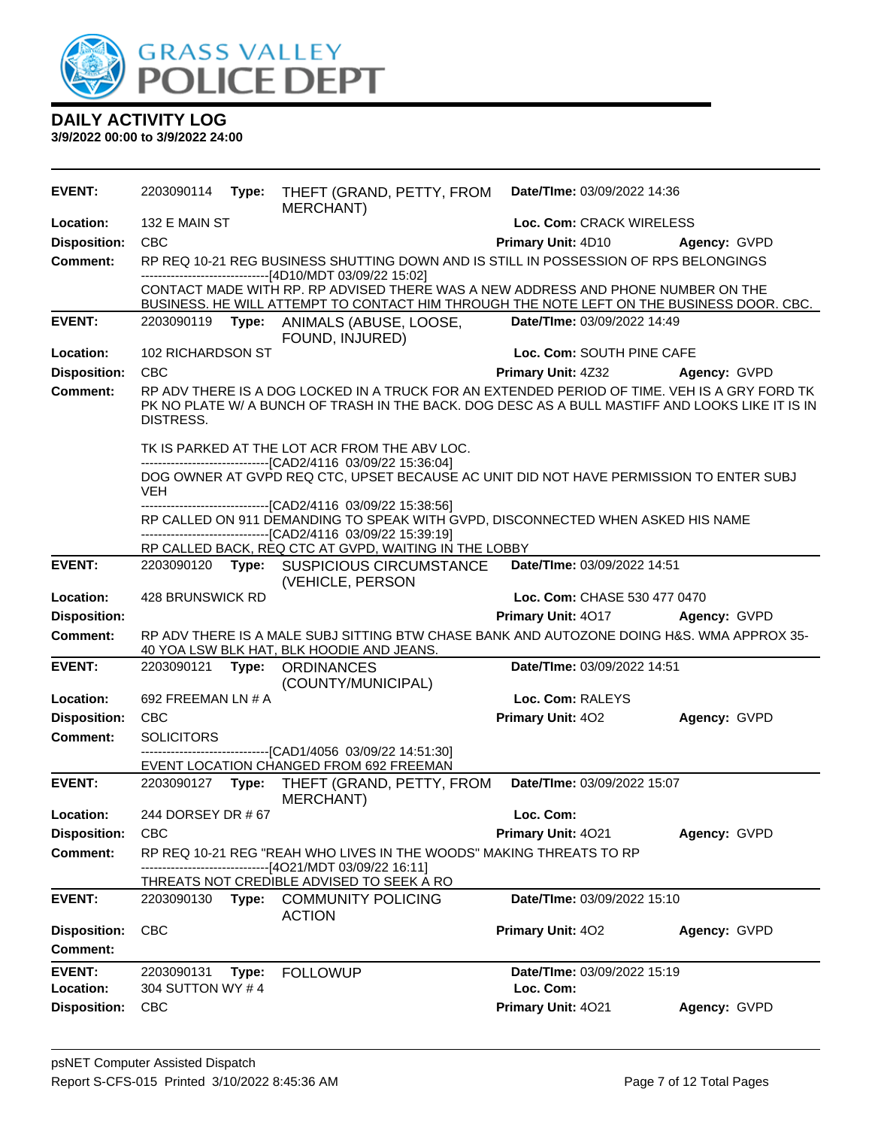

| <b>EVENT:</b>       | 2203090114         | Type: | THEFT (GRAND, PETTY, FROM<br><b>MERCHANT</b> )                                                                                                                                                  | Date/TIme: 03/09/2022 14:36  |              |
|---------------------|--------------------|-------|-------------------------------------------------------------------------------------------------------------------------------------------------------------------------------------------------|------------------------------|--------------|
| Location:           | 132 E MAIN ST      |       |                                                                                                                                                                                                 | Loc. Com: CRACK WIRELESS     |              |
| <b>Disposition:</b> | <b>CBC</b>         |       |                                                                                                                                                                                                 | Primary Unit: 4D10           | Agency: GVPD |
| <b>Comment:</b>     |                    |       | RP REQ 10-21 REG BUSINESS SHUTTING DOWN AND IS STILL IN POSSESSION OF RPS BELONGINGS<br>-------------------------------[4D10/MDT 03/09/22 15:02]                                                |                              |              |
|                     |                    |       | CONTACT MADE WITH RP. RP ADVISED THERE WAS A NEW ADDRESS AND PHONE NUMBER ON THE<br>BUSINESS. HE WILL ATTEMPT TO CONTACT HIM THROUGH THE NOTE LEFT ON THE BUSINESS DOOR. CBC.                   |                              |              |
| <b>EVENT:</b>       |                    |       | 2203090119 Type: ANIMALS (ABUSE, LOOSE,<br>FOUND, INJURED)                                                                                                                                      | Date/TIme: 03/09/2022 14:49  |              |
| Location:           | 102 RICHARDSON ST  |       |                                                                                                                                                                                                 | Loc. Com: SOUTH PINE CAFE    |              |
| <b>Disposition:</b> | <b>CBC</b>         |       |                                                                                                                                                                                                 | <b>Primary Unit: 4Z32</b>    | Agency: GVPD |
| <b>Comment:</b>     | DISTRESS.          |       | RP ADV THERE IS A DOG LOCKED IN A TRUCK FOR AN EXTENDED PERIOD OF TIME. VEH IS A GRY FORD TK<br>PK NO PLATE W/ A BUNCH OF TRASH IN THE BACK. DOG DESC AS A BULL MASTIFF AND LOOKS LIKE IT IS IN |                              |              |
|                     |                    |       | TK IS PARKED AT THE LOT ACR FROM THE ABV LOC.                                                                                                                                                   |                              |              |
|                     | <b>VEH</b>         |       | --------------------------------[CAD2/4116 03/09/22 15:36:04]<br>DOG OWNER AT GVPD REQ CTC, UPSET BECAUSE AC UNIT DID NOT HAVE PERMISSION TO ENTER SUBJ                                         |                              |              |
|                     |                    |       | ---------------------------------[CAD2/4116 03/09/22 15:38:56]<br>RP CALLED ON 911 DEMANDING TO SPEAK WITH GVPD, DISCONNECTED WHEN ASKED HIS NAME                                               |                              |              |
|                     |                    |       | ---------------------------------[CAD2/4116 03/09/22 15:39:19]                                                                                                                                  |                              |              |
|                     |                    |       | RP CALLED BACK, REQ CTC AT GVPD, WAITING IN THE LOBBY                                                                                                                                           |                              |              |
| <b>EVENT:</b>       |                    |       | 2203090120 Type: SUSPICIOUS CIRCUMSTANCE<br>(VEHICLE, PERSON                                                                                                                                    | Date/TIme: 03/09/2022 14:51  |              |
| Location:           | 428 BRUNSWICK RD   |       |                                                                                                                                                                                                 | Loc. Com: CHASE 530 477 0470 |              |
| <b>Disposition:</b> |                    |       |                                                                                                                                                                                                 | Primary Unit: 4017           | Agency: GVPD |
| <b>Comment:</b>     |                    |       | RP ADV THERE IS A MALE SUBJ SITTING BTW CHASE BANK AND AUTOZONE DOING H&S. WMA APPROX 35-<br>40 YOA LSW BLK HAT, BLK HOODIE AND JEANS.                                                          |                              |              |
| <b>EVENT:</b>       | 2203090121 Type:   |       | <b>ORDINANCES</b><br>(COUNTY/MUNICIPAL)                                                                                                                                                         | Date/TIme: 03/09/2022 14:51  |              |
| Location:           | 692 FREEMAN LN # A |       |                                                                                                                                                                                                 | Loc. Com: RALEYS             |              |
| <b>Disposition:</b> | CBC                |       |                                                                                                                                                                                                 | Primary Unit: 402            | Agency: GVPD |
| <b>Comment:</b>     | <b>SOLICITORS</b>  |       |                                                                                                                                                                                                 |                              |              |
|                     |                    |       | -------------------------------[CAD1/4056 03/09/22 14:51:30]<br>EVENT LOCATION CHANGED FROM 692 FREEMAN                                                                                         |                              |              |
| <b>EVENT:</b>       |                    |       | 2203090127 Type: THEFT (GRAND, PETTY, FROM<br><b>MERCHANT)</b>                                                                                                                                  | Date/TIme: 03/09/2022 15:07  |              |
| Location:           | 244 DORSEY DR # 67 |       |                                                                                                                                                                                                 | Loc. Com:                    |              |
| <b>Disposition:</b> | <b>CBC</b>         |       |                                                                                                                                                                                                 | Primary Unit: 4021           | Agency: GVPD |
| <b>Comment:</b>     |                    |       | RP REQ 10-21 REG "REAH WHO LIVES IN THE WOODS" MAKING THREATS TO RP<br>--[4O21/MDT 03/09/22 16:11]                                                                                              |                              |              |
|                     |                    |       | THREATS NOT CREDIBLE ADVISED TO SEEK A RO                                                                                                                                                       |                              |              |
| <b>EVENT:</b>       | 2203090130         | Type: | <b>COMMUNITY POLICING</b><br><b>ACTION</b>                                                                                                                                                      | Date/TIme: 03/09/2022 15:10  |              |
| <b>Disposition:</b> | <b>CBC</b>         |       |                                                                                                                                                                                                 | Primary Unit: 402            | Agency: GVPD |
| <b>Comment:</b>     |                    |       |                                                                                                                                                                                                 |                              |              |
| <b>EVENT:</b>       | 2203090131         | Type: | <b>FOLLOWUP</b>                                                                                                                                                                                 | Date/TIme: 03/09/2022 15:19  |              |
| Location:           | 304 SUTTON WY #4   |       |                                                                                                                                                                                                 | Loc. Com:                    |              |
| <b>Disposition:</b> | <b>CBC</b>         |       |                                                                                                                                                                                                 | Primary Unit: 4021           | Agency: GVPD |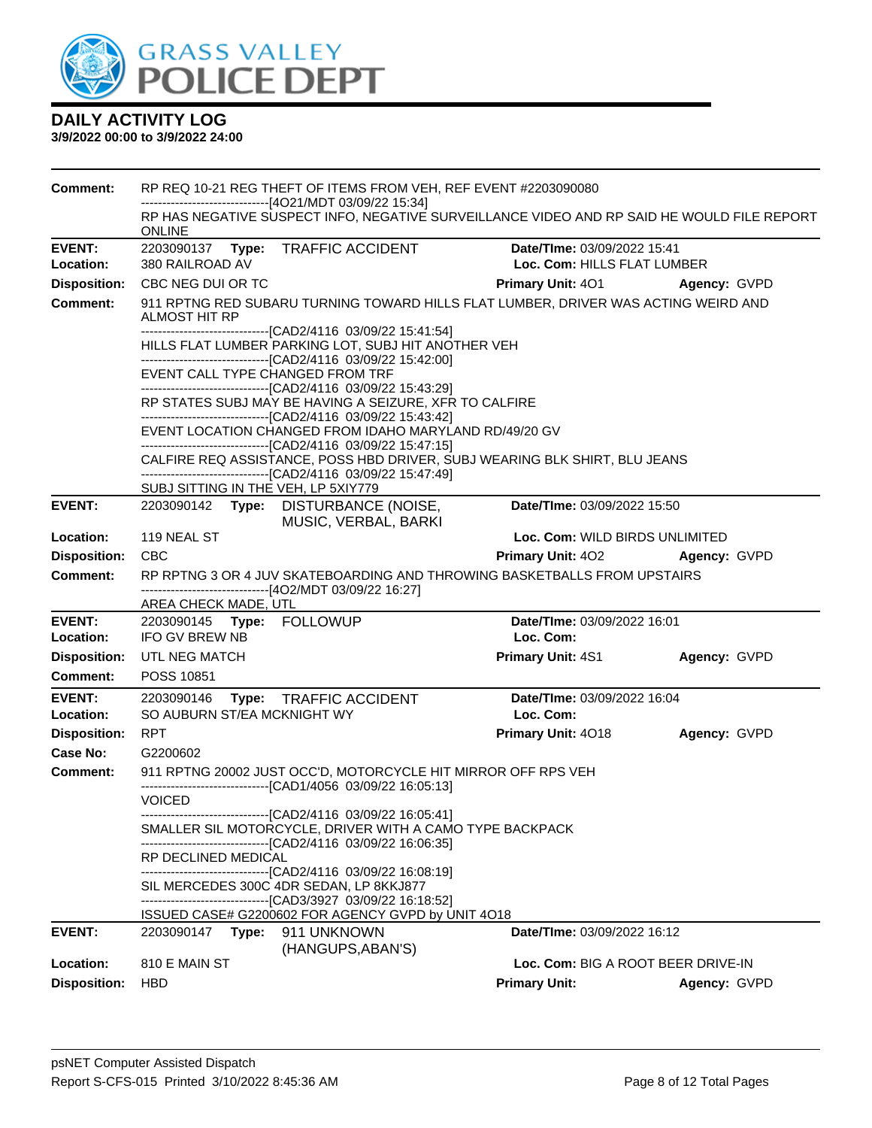

| Comment:                   | RP REQ 10-21 REG THEFT OF ITEMS FROM VEH, REF EVENT #2203090080<br>-------------------------[4O21/MDT 03/09/22 15:34]                                                                                                                                                                             |                                  |                                                            |              |
|----------------------------|---------------------------------------------------------------------------------------------------------------------------------------------------------------------------------------------------------------------------------------------------------------------------------------------------|----------------------------------|------------------------------------------------------------|--------------|
|                            | RP HAS NEGATIVE SUSPECT INFO, NEGATIVE SURVEILLANCE VIDEO AND RP SAID HE WOULD FILE REPORT<br><b>ONLINE</b>                                                                                                                                                                                       |                                  |                                                            |              |
| <b>EVENT:</b><br>Location: | 2203090137<br>Type: TRAFFIC ACCIDENT<br>380 RAILROAD AV                                                                                                                                                                                                                                           |                                  | Date/TIme: 03/09/2022 15:41<br>Loc. Com: HILLS FLAT LUMBER |              |
| <b>Disposition:</b>        | CBC NEG DUI OR TC                                                                                                                                                                                                                                                                                 |                                  | <b>Primary Unit: 401</b>                                   | Agency: GVPD |
| <b>Comment:</b>            | 911 RPTNG RED SUBARU TURNING TOWARD HILLS FLAT LUMBER, DRIVER WAS ACTING WEIRD AND<br><b>ALMOST HIT RP</b><br>-------------------------------[CAD2/4116 03/09/22 15:41:54]<br>HILLS FLAT LUMBER PARKING LOT, SUBJ HIT ANOTHER VEH<br>-------------------------------[CAD2/4116 03/09/22 15:42:00] |                                  |                                                            |              |
|                            | EVENT CALL TYPE CHANGED FROM TRF<br>------------------------------[CAD2/4116 03/09/22 15:43:29]                                                                                                                                                                                                   |                                  |                                                            |              |
|                            | RP STATES SUBJ MAY BE HAVING A SEIZURE, XFR TO CALFIRE                                                                                                                                                                                                                                            |                                  |                                                            |              |
|                            | -------------------------------[CAD2/4116 03/09/22 15:43:42]<br>EVENT LOCATION CHANGED FROM IDAHO MARYLAND RD/49/20 GV<br>-------------------------------[CAD2/4116 03/09/22 15:47:15]                                                                                                            |                                  |                                                            |              |
|                            | CALFIRE REQ ASSISTANCE, POSS HBD DRIVER, SUBJ WEARING BLK SHIRT, BLU JEANS<br>-------------------------------[CAD2/4116 03/09/22 15:47:49]                                                                                                                                                        |                                  |                                                            |              |
|                            | SUBJ SITTING IN THE VEH, LP 5XIY779                                                                                                                                                                                                                                                               |                                  |                                                            |              |
| <b>EVENT:</b>              | 2203090142 Type: DISTURBANCE (NOISE,                                                                                                                                                                                                                                                              | MUSIC, VERBAL, BARKI             | Date/TIme: 03/09/2022 15:50                                |              |
| Location:                  | 119 NEAL ST                                                                                                                                                                                                                                                                                       |                                  | Loc. Com: WILD BIRDS UNLIMITED                             |              |
| <b>Disposition:</b>        | <b>CBC</b>                                                                                                                                                                                                                                                                                        |                                  | <b>Primary Unit: 402</b>                                   | Agency: GVPD |
| <b>Comment:</b>            | RP RPTNG 3 OR 4 JUV SKATEBOARDING AND THROWING BASKETBALLS FROM UPSTAIRS<br>-------------------------------[4O2/MDT 03/09/22 16:27]                                                                                                                                                               |                                  |                                                            |              |
|                            | AREA CHECK MADE, UTL                                                                                                                                                                                                                                                                              |                                  |                                                            |              |
| <b>EVENT:</b><br>Location: | <b>IFO GV BREW NB</b>                                                                                                                                                                                                                                                                             |                                  | Date/TIme: 03/09/2022 16:01<br>Loc. Com:                   |              |
| <b>Disposition:</b>        | UTL NEG MATCH                                                                                                                                                                                                                                                                                     |                                  | <b>Primary Unit: 4S1</b>                                   | Agency: GVPD |
| <b>Comment:</b>            | POSS 10851                                                                                                                                                                                                                                                                                        |                                  |                                                            |              |
| <b>EVENT:</b>              | 2203090146<br>Type: TRAFFIC ACCIDENT                                                                                                                                                                                                                                                              |                                  | Date/TIme: 03/09/2022 16:04                                |              |
| Location:                  | SO AUBURN ST/EA MCKNIGHT WY                                                                                                                                                                                                                                                                       |                                  | Loc. Com:                                                  |              |
| <b>Disposition:</b>        | <b>RPT</b>                                                                                                                                                                                                                                                                                        |                                  | Primary Unit: 4018                                         | Agency: GVPD |
| Case No:<br>Comment:       | G2200602<br>911 RPTNG 20002 JUST OCC'D, MOTORCYCLE HIT MIRROR OFF RPS VEH                                                                                                                                                                                                                         |                                  |                                                            |              |
|                            | -------------------------[CAD1/4056 03/09/22 16:05:13]                                                                                                                                                                                                                                            |                                  |                                                            |              |
|                            | <b>VOICED</b>                                                                                                                                                                                                                                                                                     |                                  |                                                            |              |
|                            | -------------------[CAD2/4116 03/09/22 16:05:41]<br>SMALLER SIL MOTORCYCLE, DRIVER WITH A CAMO TYPE BACKPACK<br>-------------------------------[CAD2/4116_03/09/22 16:06:35]                                                                                                                      |                                  |                                                            |              |
|                            | <b>RP DECLINED MEDICAL</b><br>--------------------------------[CAD2/4116 03/09/22 16:08:19]                                                                                                                                                                                                       |                                  |                                                            |              |
|                            | SIL MERCEDES 300C 4DR SEDAN, LP 8KKJ877<br>-------------------------------[CAD3/3927   03/09/22 16:18:52]                                                                                                                                                                                         |                                  |                                                            |              |
|                            | ISSUED CASE# G2200602 FOR AGENCY GVPD by UNIT 4O18                                                                                                                                                                                                                                                |                                  |                                                            |              |
| <b>EVENT:</b>              | 2203090147<br>Type:                                                                                                                                                                                                                                                                               | 911 UNKNOWN<br>(HANGUPS, ABAN'S) | Date/TIme: 03/09/2022 16:12                                |              |
| Location:                  | 810 E MAIN ST                                                                                                                                                                                                                                                                                     |                                  | Loc. Com: BIG A ROOT BEER DRIVE-IN                         |              |
| <b>Disposition:</b>        | <b>HBD</b>                                                                                                                                                                                                                                                                                        |                                  | <b>Primary Unit:</b>                                       | Agency: GVPD |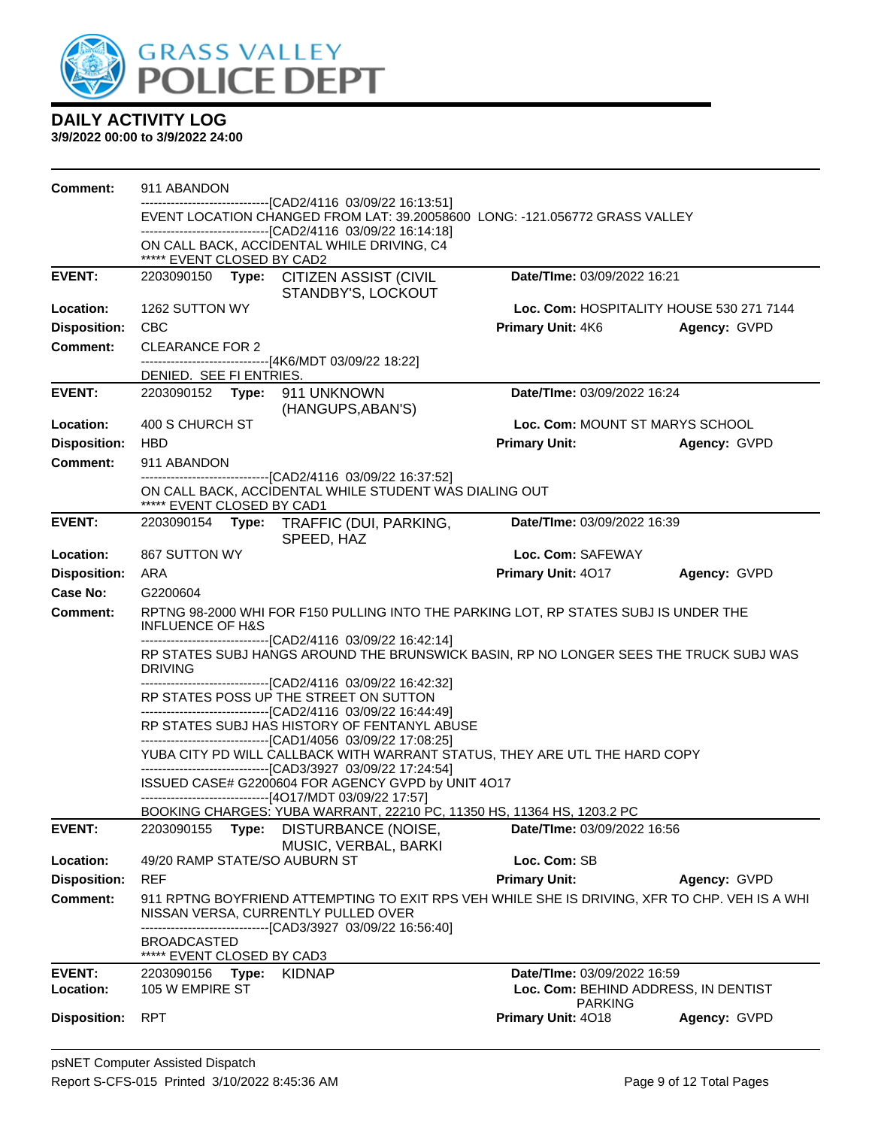

| <b>Comment:</b>                        | 911 ABANDON                                      |                                                                                                                                             |                                          |              |
|----------------------------------------|--------------------------------------------------|---------------------------------------------------------------------------------------------------------------------------------------------|------------------------------------------|--------------|
|                                        |                                                  | -------------------------------[CAD2/4116 03/09/22 16:13:51]<br>EVENT LOCATION CHANGED FROM LAT: 39.20058600 LONG: -121.056772 GRASS VALLEY |                                          |              |
|                                        |                                                  | --------------------------------[CAD2/4116 03/09/22 16:14:18]                                                                               |                                          |              |
|                                        | ***** EVENT CLOSED BY CAD2                       | ON CALL BACK, ACCIDENTAL WHILE DRIVING, C4                                                                                                  |                                          |              |
| <b>EVENT:</b>                          |                                                  | 2203090150 Type: CITIZEN ASSIST (CIVIL                                                                                                      | Date/TIme: 03/09/2022 16:21              |              |
|                                        |                                                  | STANDBY'S, LOCKOUT                                                                                                                          |                                          |              |
| Location:                              | 1262 SUTTON WY                                   |                                                                                                                                             | Loc. Com: HOSPITALITY HOUSE 530 271 7144 |              |
| <b>Disposition:</b><br><b>Comment:</b> | <b>CBC</b>                                       |                                                                                                                                             | Primary Unit: 4K6                        | Agency: GVPD |
|                                        | <b>CLEARANCE FOR 2</b>                           | -------------------------------[4K6/MDT 03/09/22 18:22]                                                                                     |                                          |              |
|                                        | DENIED. SEE FI ENTRIES.                          |                                                                                                                                             |                                          |              |
| <b>EVENT:</b>                          | 2203090152 Type: 911 UNKNOWN                     | (HANGUPS, ABAN'S)                                                                                                                           | Date/TIme: 03/09/2022 16:24              |              |
| Location:                              | 400 S CHURCH ST                                  |                                                                                                                                             | Loc. Com: MOUNT ST MARYS SCHOOL          |              |
| <b>Disposition:</b>                    | <b>HBD</b>                                       |                                                                                                                                             | <b>Primary Unit:</b>                     | Agency: GVPD |
| <b>Comment:</b>                        | 911 ABANDON                                      |                                                                                                                                             |                                          |              |
|                                        |                                                  | -------------------------------[CAD2/4116 03/09/22 16:37:52]<br>ON CALL BACK, ACCIDENTAL WHILE STUDENT WAS DIALING OUT                      |                                          |              |
| <b>EVENT:</b>                          | ***** EVENT CLOSED BY CAD1<br>2203090154         |                                                                                                                                             | Date/TIme: 03/09/2022 16:39              |              |
|                                        |                                                  | Type: TRAFFIC (DUI, PARKING,<br>SPEED, HAZ                                                                                                  |                                          |              |
| Location:                              | 867 SUTTON WY                                    |                                                                                                                                             | Loc. Com: SAFEWAY                        |              |
| <b>Disposition:</b>                    | ARA                                              |                                                                                                                                             | Primary Unit: 4017                       | Agency: GVPD |
| Case No:                               | G2200604                                         |                                                                                                                                             |                                          |              |
| <b>Comment:</b>                        | <b>INFLUENCE OF H&amp;S</b>                      | RPTNG 98-2000 WHI FOR F150 PULLING INTO THE PARKING LOT, RP STATES SUBJ IS UNDER THE                                                        |                                          |              |
|                                        |                                                  | ------------------------------[CAD2/4116 03/09/22 16:42:14]                                                                                 |                                          |              |
|                                        | <b>DRIVING</b>                                   | RP STATES SUBJ HANGS AROUND THE BRUNSWICK BASIN, RP NO LONGER SEES THE TRUCK SUBJ WAS                                                       |                                          |              |
|                                        |                                                  | -------------------------------[CAD2/4116 03/09/22 16:42:32]<br>RP STATES POSS UP THE STREET ON SUTTON                                      |                                          |              |
|                                        |                                                  | --------------------------------[CAD2/4116 03/09/22 16:44:49]                                                                               |                                          |              |
|                                        |                                                  | RP STATES SUBJ HAS HISTORY OF FENTANYL ABUSE<br>-------------------------------[CAD1/4056 03/09/22 17:08:25]                                |                                          |              |
|                                        |                                                  | YUBA CITY PD WILL CALLBACK WITH WARRANT STATUS, THEY ARE UTL THE HARD COPY                                                                  |                                          |              |
|                                        |                                                  | ------------------------------[CAD3/3927 03/09/22 17:24:54]                                                                                 |                                          |              |
|                                        |                                                  | ISSUED CASE# G2200604 FOR AGENCY GVPD by UNIT 4O17<br>-------------------------------[4O17/MDT 03/09/22 17:57]                              |                                          |              |
|                                        |                                                  | BOOKING CHARGES: YUBA WARRANT, 22210 PC, 11350 HS, 11364 HS, 1203.2 PC                                                                      |                                          |              |
| <b>EVENT:</b>                          | 2203090155<br>Type:                              | DISTURBANCE (NOISE,<br>MUSIC, VERBAL, BARKI                                                                                                 | Date/TIme: 03/09/2022 16:56              |              |
| Location:                              | 49/20 RAMP STATE/SO AUBURN ST                    |                                                                                                                                             | Loc. Com: SB                             |              |
| <b>Disposition:</b>                    | <b>REF</b>                                       |                                                                                                                                             | <b>Primary Unit:</b>                     | Agency: GVPD |
| Comment:                               |                                                  | 911 RPTNG BOYFRIEND ATTEMPTING TO EXIT RPS VEH WHILE SHE IS DRIVING, XFR TO CHP. VEH IS A WHI<br>NISSAN VERSA, CURRENTLY PULLED OVER        |                                          |              |
|                                        | <b>BROADCASTED</b><br>***** EVENT CLOSED BY CAD3 | --------------------[CAD3/3927 03/09/22 16:56:40]                                                                                           |                                          |              |
| <b>EVENT:</b>                          | 2203090156<br>Type:                              | <b>KIDNAP</b>                                                                                                                               | Date/TIme: 03/09/2022 16:59              |              |
| Location:                              | 105 W EMPIRE ST                                  |                                                                                                                                             | Loc. Com: BEHIND ADDRESS, IN DENTIST     |              |
| <b>Disposition:</b>                    | <b>RPT</b>                                       |                                                                                                                                             | <b>PARKING</b><br>Primary Unit: 4018     | Agency: GVPD |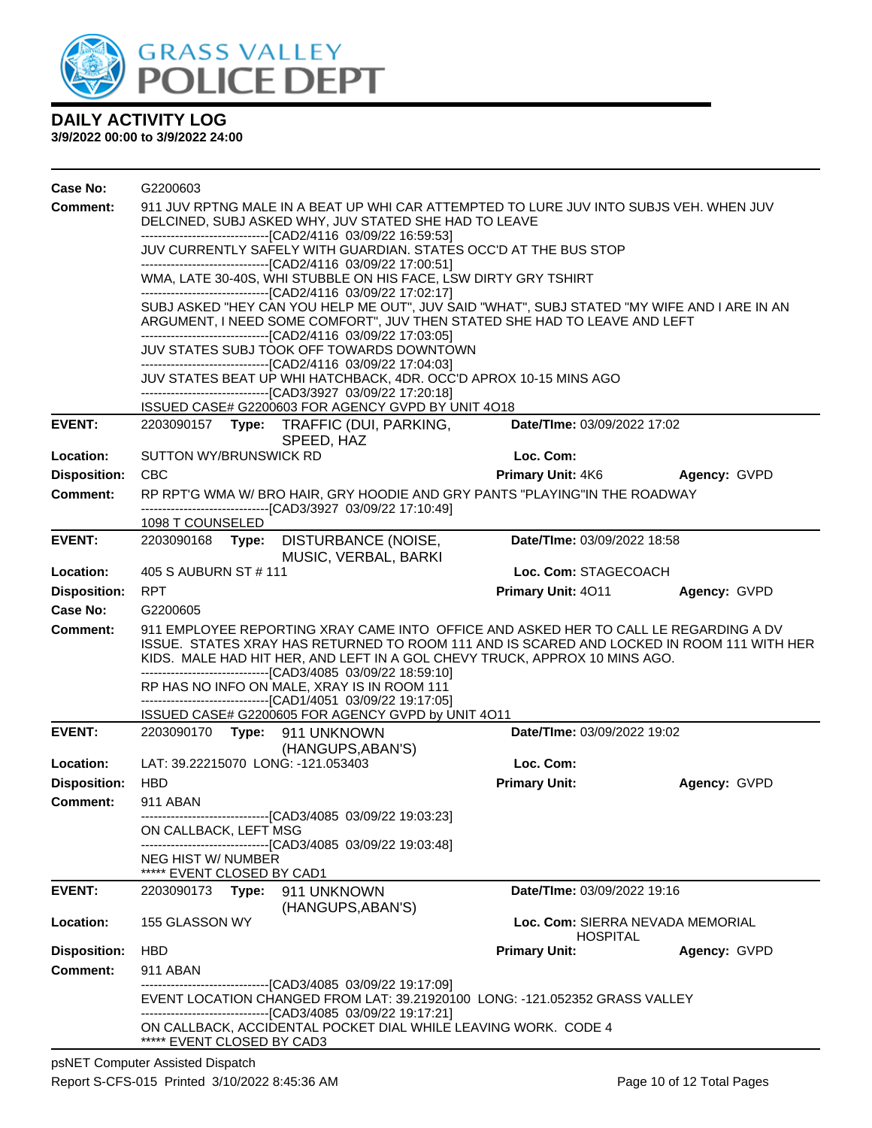

| Case No:            | G2200603                   |                                                                                                                                    |                                                                                                                                                                                                                                                                 |                                                     |              |  |  |
|---------------------|----------------------------|------------------------------------------------------------------------------------------------------------------------------------|-----------------------------------------------------------------------------------------------------------------------------------------------------------------------------------------------------------------------------------------------------------------|-----------------------------------------------------|--------------|--|--|
| Comment:            |                            |                                                                                                                                    | 911 JUV RPTNG MALE IN A BEAT UP WHI CAR ATTEMPTED TO LURE JUV INTO SUBJS VEH. WHEN JUV<br>DELCINED, SUBJ ASKED WHY, JUV STATED SHE HAD TO LEAVE                                                                                                                 |                                                     |              |  |  |
|                     |                            | ---------------------------------[CAD2/4116 03/09/22 16:59:53]<br>JUV CURRENTLY SAFELY WITH GUARDIAN. STATES OCC'D AT THE BUS STOP |                                                                                                                                                                                                                                                                 |                                                     |              |  |  |
|                     |                            |                                                                                                                                    | -------------------------------[CAD2/4116 03/09/22 17:00:51]<br>WMA, LATE 30-40S, WHI STUBBLE ON HIS FACE, LSW DIRTY GRY TSHIRT                                                                                                                                 |                                                     |              |  |  |
|                     |                            |                                                                                                                                    | -------------------------------[CAD2/4116 03/09/22 17:02:17]                                                                                                                                                                                                    |                                                     |              |  |  |
|                     |                            |                                                                                                                                    | SUBJ ASKED "HEY CAN YOU HELP ME OUT", JUV SAID "WHAT", SUBJ STATED "MY WIFE AND I ARE IN AN<br>ARGUMENT, I NEED SOME COMFORT", JUV THEN STATED SHE HAD TO LEAVE AND LEFT<br>-------------------------------[CAD2/4116 03/09/22 17:03:05]                        |                                                     |              |  |  |
|                     |                            |                                                                                                                                    | JUV STATES SUBJ TOOK OFF TOWARDS DOWNTOWN                                                                                                                                                                                                                       |                                                     |              |  |  |
|                     |                            |                                                                                                                                    | --------------------------------[CAD2/4116 03/09/22 17:04:03]<br>JUV STATES BEAT UP WHI HATCHBACK, 4DR. OCC'D APROX 10-15 MINS AGO<br>--------------------------------[CAD3/3927 03/09/22 17:20:18]                                                             |                                                     |              |  |  |
|                     |                            |                                                                                                                                    | ISSUED CASE# G2200603 FOR AGENCY GVPD BY UNIT 4O18                                                                                                                                                                                                              |                                                     |              |  |  |
| <b>EVENT:</b>       |                            |                                                                                                                                    | 2203090157 Type: TRAFFIC (DUI, PARKING,<br>SPEED, HAZ                                                                                                                                                                                                           | Date/TIme: 03/09/2022 17:02                         |              |  |  |
| Location:           | SUTTON WY/BRUNSWICK RD     |                                                                                                                                    |                                                                                                                                                                                                                                                                 | Loc. Com:                                           |              |  |  |
| <b>Disposition:</b> | <b>CBC</b>                 |                                                                                                                                    |                                                                                                                                                                                                                                                                 | <b>Primary Unit: 4K6</b>                            | Agency: GVPD |  |  |
| <b>Comment:</b>     |                            |                                                                                                                                    | RP RPT'G WMA W/BRO HAIR, GRY HOODIE AND GRY PANTS "PLAYING"IN THE ROADWAY<br>-------------------------[CAD3/3927 03/09/22 17:10:49]                                                                                                                             |                                                     |              |  |  |
|                     | 1098 T COUNSELED           |                                                                                                                                    |                                                                                                                                                                                                                                                                 |                                                     |              |  |  |
| <b>EVENT:</b>       |                            |                                                                                                                                    | 2203090168 Type: DISTURBANCE (NOISE,<br>MUSIC, VERBAL, BARKI                                                                                                                                                                                                    | Date/TIme: 03/09/2022 18:58                         |              |  |  |
| Location:           | 405 S AUBURN ST # 111      |                                                                                                                                    |                                                                                                                                                                                                                                                                 | Loc. Com: STAGECOACH                                |              |  |  |
| <b>Disposition:</b> | <b>RPT</b>                 |                                                                                                                                    |                                                                                                                                                                                                                                                                 | <b>Primary Unit: 4011</b>                           | Agency: GVPD |  |  |
| <b>Case No:</b>     | G2200605                   |                                                                                                                                    |                                                                                                                                                                                                                                                                 |                                                     |              |  |  |
| Comment:            |                            |                                                                                                                                    | 911 EMPLOYEE REPORTING XRAY CAME INTO OFFICE AND ASKED HER TO CALL LE REGARDING A DV<br>ISSUE. STATES XRAY HAS RETURNED TO ROOM 111 AND IS SCARED AND LOCKED IN ROOM 111 WITH HER<br>KIDS. MALE HAD HIT HER, AND LEFT IN A GOL CHEVY TRUCK, APPROX 10 MINS AGO. |                                                     |              |  |  |
|                     |                            |                                                                                                                                    | ---------------------------------[CAD3/4085 03/09/22 18:59:10]<br>RP HAS NO INFO ON MALE, XRAY IS IN ROOM 111<br>-------------------------------[CAD1/4051 03/09/22 19:17:05]                                                                                   |                                                     |              |  |  |
|                     |                            |                                                                                                                                    | ISSUED CASE# G2200605 FOR AGENCY GVPD by UNIT 4011                                                                                                                                                                                                              | Date/TIme: 03/09/2022 19:02                         |              |  |  |
| <b>EVENT:</b>       | 2203090170 <b>Type:</b>    |                                                                                                                                    | 911 UNKNOWN<br>(HANGUPS, ABAN'S)                                                                                                                                                                                                                                |                                                     |              |  |  |
| Location:           |                            |                                                                                                                                    | LAT: 39.22215070 LONG: -121.053403                                                                                                                                                                                                                              | Loc. Com:                                           |              |  |  |
| <b>Disposition:</b> | <b>HBD</b>                 |                                                                                                                                    |                                                                                                                                                                                                                                                                 | <b>Primary Unit:</b>                                | Agency: GVPD |  |  |
| Comment:            | 911 ABAN                   |                                                                                                                                    | ------------------[CAD3/4085 03/09/22 19:03:23]                                                                                                                                                                                                                 |                                                     |              |  |  |
|                     | ON CALLBACK, LEFT MSG      |                                                                                                                                    | -------------------------------[CAD3/4085 03/09/22 19:03:48]                                                                                                                                                                                                    |                                                     |              |  |  |
|                     | <b>NEG HIST W/ NUMBER</b>  |                                                                                                                                    |                                                                                                                                                                                                                                                                 |                                                     |              |  |  |
| <b>EVENT:</b>       | ***** EVENT CLOSED BY CAD1 |                                                                                                                                    |                                                                                                                                                                                                                                                                 | Date/TIme: 03/09/2022 19:16                         |              |  |  |
|                     | 2203090173                 | Type:                                                                                                                              | 911 UNKNOWN<br>(HANGUPS, ABAN'S)                                                                                                                                                                                                                                |                                                     |              |  |  |
| Location:           | 155 GLASSON WY             |                                                                                                                                    |                                                                                                                                                                                                                                                                 | Loc. Com: SIERRA NEVADA MEMORIAL<br><b>HOSPITAL</b> |              |  |  |
| <b>Disposition:</b> | <b>HBD</b>                 |                                                                                                                                    |                                                                                                                                                                                                                                                                 | <b>Primary Unit:</b>                                | Agency: GVPD |  |  |
| <b>Comment:</b>     | 911 ABAN                   |                                                                                                                                    |                                                                                                                                                                                                                                                                 |                                                     |              |  |  |
|                     |                            |                                                                                                                                    | --------------------------------[CAD3/4085 03/09/22 19:17:09]<br>EVENT LOCATION CHANGED FROM LAT: 39.21920100 LONG: -121.052352 GRASS VALLEY<br>------------------------[CAD3/4085_03/09/22 19:17:21]                                                           |                                                     |              |  |  |
|                     | ***** EVENT CLOSED BY CAD3 |                                                                                                                                    | ON CALLBACK, ACCIDENTAL POCKET DIAL WHILE LEAVING WORK. CODE 4                                                                                                                                                                                                  |                                                     |              |  |  |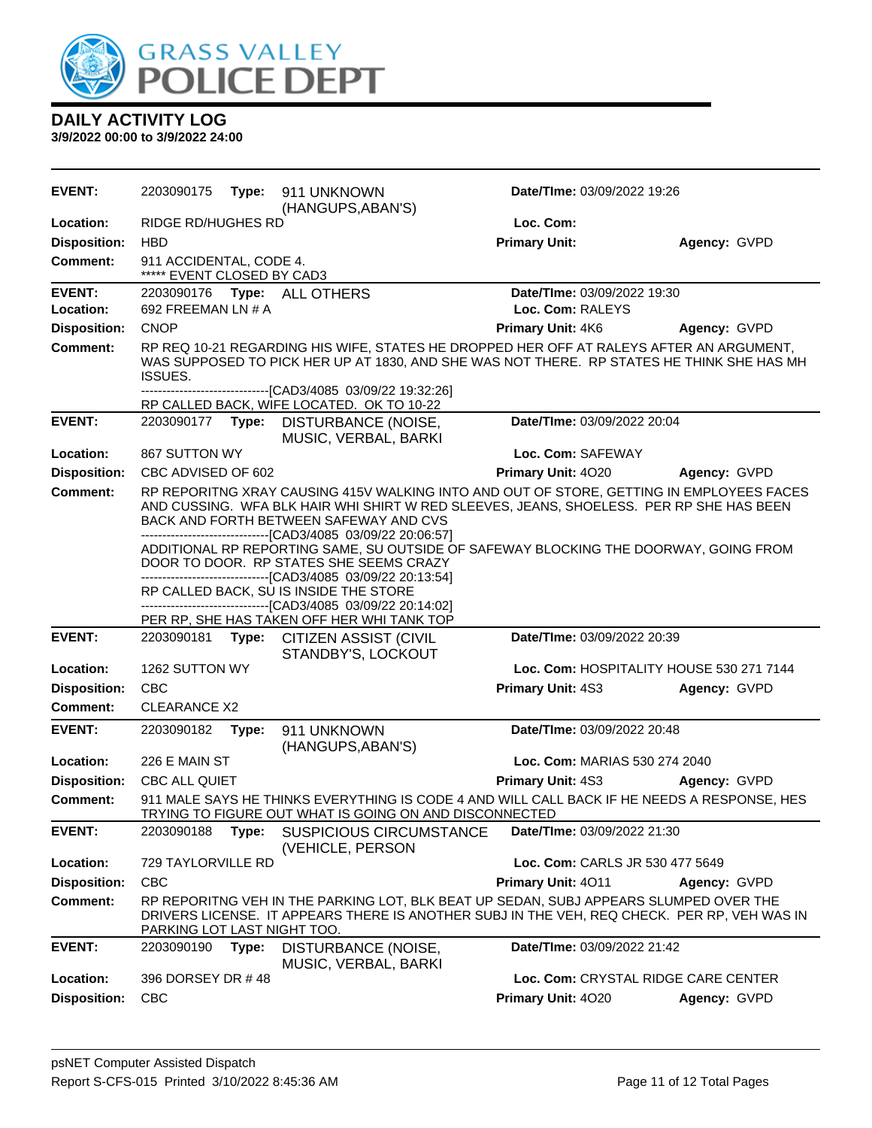

| EVENT:                           | 2203090175                                            | Type: | 911 UNKNOWN<br>(HANGUPS, ABAN'S)                                                                                                                                                                                                                                 | <b>Date/Time: 03/09/2022 19:26</b>              |                                                     |
|----------------------------------|-------------------------------------------------------|-------|------------------------------------------------------------------------------------------------------------------------------------------------------------------------------------------------------------------------------------------------------------------|-------------------------------------------------|-----------------------------------------------------|
| Location:                        | <b>RIDGE RD/HUGHES RD</b>                             |       |                                                                                                                                                                                                                                                                  | Loc. Com:                                       |                                                     |
| <b>Disposition:</b>              | <b>HBD</b>                                            |       |                                                                                                                                                                                                                                                                  | <b>Primary Unit:</b>                            | Agency: GVPD                                        |
| Comment:                         | 911 ACCIDENTAL, CODE 4.<br>***** EVENT CLOSED BY CAD3 |       |                                                                                                                                                                                                                                                                  |                                                 |                                                     |
| <b>EVENT:</b><br>Location:       | 692 FREEMAN LN # A                                    |       | 2203090176    Type: ALL OTHERS                                                                                                                                                                                                                                   | Date/TIme: 03/09/2022 19:30<br>Loc. Com: RALEYS |                                                     |
| <b>Disposition:</b>              | <b>CNOP</b>                                           |       |                                                                                                                                                                                                                                                                  | Primary Unit: 4K6                               | Agency: GVPD                                        |
| <b>Comment:</b>                  | ISSUES.                                               |       | RP REQ 10-21 REGARDING HIS WIFE, STATES HE DROPPED HER OFF AT RALEYS AFTER AN ARGUMENT,<br>WAS SUPPOSED TO PICK HER UP AT 1830, AND SHE WAS NOT THERE. RP STATES HE THINK SHE HAS MH                                                                             |                                                 |                                                     |
|                                  |                                                       |       | --------------------------------[CAD3/4085 03/09/22 19:32:26]<br>RP CALLED BACK, WIFE LOCATED. OK TO 10-22                                                                                                                                                       |                                                 |                                                     |
| <b>EVENT:</b>                    | 2203090177                                            | Type: | DISTURBANCE (NOISE,<br>MUSIC, VERBAL, BARKI                                                                                                                                                                                                                      | Date/TIme: 03/09/2022 20:04                     |                                                     |
| Location:                        | 867 SUTTON WY                                         |       |                                                                                                                                                                                                                                                                  | Loc. Com: SAFEWAY                               |                                                     |
| <b>Disposition:</b>              | CBC ADVISED OF 602                                    |       |                                                                                                                                                                                                                                                                  | Primary Unit: 4020                              | Agency: GVPD                                        |
| <b>Comment:</b>                  |                                                       |       | RP REPORITNG XRAY CAUSING 415V WALKING INTO AND OUT OF STORE, GETTING IN EMPLOYEES FACES<br>AND CUSSING. WFA BLK HAIR WHI SHIRT W RED SLEEVES, JEANS, SHOELESS. PER RP SHE HAS BEEN<br>BACK AND FORTH BETWEEN SAFEWAY AND CVS                                    |                                                 |                                                     |
|                                  |                                                       |       | -------------------------------[CAD3/4085 03/09/22 20:06:57]<br>ADDITIONAL RP REPORTING SAME, SU OUTSIDE OF SAFEWAY BLOCKING THE DOORWAY, GOING FROM<br>DOOR TO DOOR. RP STATES SHE SEEMS CRAZY<br>--------------------------------[CAD3/4085 03/09/22 20:13:54] |                                                 |                                                     |
|                                  |                                                       |       | RP CALLED BACK, SU IS INSIDE THE STORE                                                                                                                                                                                                                           |                                                 |                                                     |
|                                  |                                                       |       | ------------------------[CAD3/4085 03/09/22 20:14:02]                                                                                                                                                                                                            |                                                 |                                                     |
|                                  |                                                       |       |                                                                                                                                                                                                                                                                  |                                                 |                                                     |
| <b>EVENT:</b>                    | 2203090181                                            | Type: | PER RP, SHE HAS TAKEN OFF HER WHI TANK TOP<br>CITIZEN ASSIST (CIVIL                                                                                                                                                                                              | Date/TIme: 03/09/2022 20:39                     |                                                     |
| Location:                        | 1262 SUTTON WY                                        |       | STANDBY'S, LOCKOUT                                                                                                                                                                                                                                               |                                                 | Loc. Com: HOSPITALITY HOUSE 530 271 7144            |
| <b>Disposition:</b>              | <b>CBC</b>                                            |       |                                                                                                                                                                                                                                                                  | Primary Unit: 4S3                               | Agency: GVPD                                        |
| <b>Comment:</b>                  | <b>CLEARANCE X2</b>                                   |       |                                                                                                                                                                                                                                                                  |                                                 |                                                     |
| <b>EVENT:</b>                    | 2203090182                                            | Type: | 911 UNKNOWN<br>(HANGUPS, ABAN'S)                                                                                                                                                                                                                                 | Date/TIme: 03/09/2022 20:48                     |                                                     |
| Location:                        | 226 E MAIN ST                                         |       |                                                                                                                                                                                                                                                                  | Loc. Com: MARIAS 530 274 2040                   |                                                     |
| <b>Disposition:</b>              | <b>CBC ALL QUIET</b>                                  |       |                                                                                                                                                                                                                                                                  | Primary Unit: 4S3                               | Agency: GVPD                                        |
| <b>Comment:</b>                  |                                                       |       | 911 MALE SAYS HE THINKS EVERYTHING IS CODE 4 AND WILL CALL BACK IF HE NEEDS A RESPONSE, HES<br>TRYING TO FIGURE OUT WHAT IS GOING ON AND DISCONNECTED                                                                                                            |                                                 |                                                     |
| <b>EVENT:</b>                    | 2203090188                                            | Type: | <b>SUSPICIOUS CIRCUMSTANCE</b><br>(VEHICLE, PERSON                                                                                                                                                                                                               | Date/TIme: 03/09/2022 21:30                     |                                                     |
| Location:                        | 729 TAYLORVILLE RD                                    |       |                                                                                                                                                                                                                                                                  | Loc. Com: CARLS JR 530 477 5649                 |                                                     |
| <b>Disposition:</b>              | <b>CBC</b>                                            |       |                                                                                                                                                                                                                                                                  | Primary Unit: 4011                              | Agency: GVPD                                        |
| Comment:                         | PARKING LOT LAST NIGHT TOO.                           |       | RP REPORITNG VEH IN THE PARKING LOT, BLK BEAT UP SEDAN, SUBJ APPEARS SLUMPED OVER THE<br>DRIVERS LICENSE. IT APPEARS THERE IS ANOTHER SUBJ IN THE VEH, REQ CHECK. PER RP, VEH WAS IN                                                                             |                                                 |                                                     |
| <b>EVENT:</b>                    | 2203090190                                            | Type: | DISTURBANCE (NOISE,<br>MUSIC, VERBAL, BARKI                                                                                                                                                                                                                      | Date/TIme: 03/09/2022 21:42                     |                                                     |
| Location:<br><b>Disposition:</b> | 396 DORSEY DR #48<br><b>CBC</b>                       |       |                                                                                                                                                                                                                                                                  | Primary Unit: 4020                              | Loc. Com: CRYSTAL RIDGE CARE CENTER<br>Agency: GVPD |